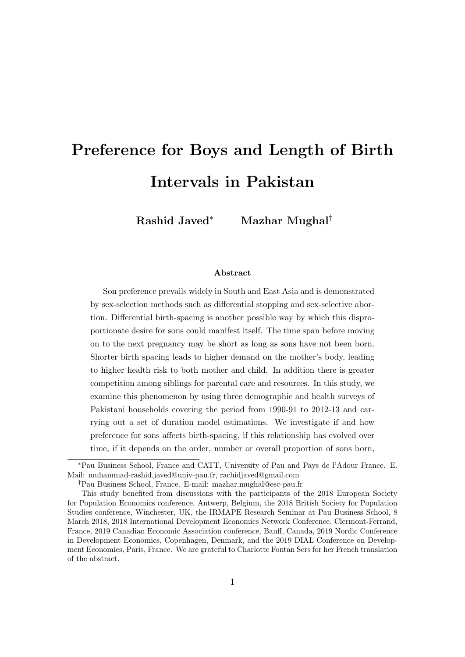# Preference for Boys and Length of Birth Intervals in Pakistan

Rashid Javed<sup>∗</sup> Mazhar Mughal†

#### Abstract

Son preference prevails widely in South and East Asia and is demonstrated by sex-selection methods such as differential stopping and sex-selective abortion. Differential birth-spacing is another possible way by which this disproportionate desire for sons could manifest itself. The time span before moving on to the next pregnancy may be short as long as sons have not been born. Shorter birth spacing leads to higher demand on the mother's body, leading to higher health risk to both mother and child. In addition there is greater competition among siblings for parental care and resources. In this study, we examine this phenomenon by using three demographic and health surveys of Pakistani households covering the period from 1990-91 to 2012-13 and carrying out a set of duration model estimations. We investigate if and how preference for sons affects birth-spacing, if this relationship has evolved over time, if it depends on the order, number or overall proportion of sons born,

<sup>∗</sup>Pau Business School, France and CATT, University of Pau and Pays de l'Adour France. E. Mail: muhammad-rashid.javed@univ-pau.fr, rachidjaved@gmail.com

<sup>†</sup>Pau Business School, France. E-mail: mazhar.mughal@esc-pau.fr

This study benefited from discussions with the participants of the 2018 European Society for Population Economics conference, Antwerp, Belgium, the 2018 British Society for Population Studies conference, Winchester, UK, the IRMAPE Research Seminar at Pau Business School, 8 March 2018, 2018 International Development Economics Network Conference, Clermont-Ferrand, France, 2019 Canadian Economic Association conference, Banff, Canada, 2019 Nordic Conference in Development Economics, Copenhagen, Denmark, and the 2019 DIAL Conference on Development Economics, Paris, France. We are grateful to Charlotte Fontan Sers for her French translation of the abstract.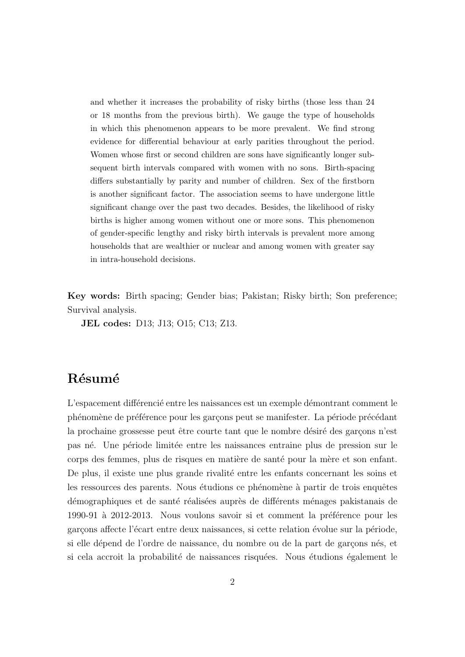and whether it increases the probability of risky births (those less than 24 or 18 months from the previous birth). We gauge the type of households in which this phenomenon appears to be more prevalent. We find strong evidence for differential behaviour at early parities throughout the period. Women whose first or second children are sons have significantly longer subsequent birth intervals compared with women with no sons. Birth-spacing differs substantially by parity and number of children. Sex of the firstborn is another significant factor. The association seems to have undergone little significant change over the past two decades. Besides, the likelihood of risky births is higher among women without one or more sons. This phenomenon of gender-specific lengthy and risky birth intervals is prevalent more among households that are wealthier or nuclear and among women with greater say in intra-household decisions.

Key words: Birth spacing; Gender bias; Pakistan; Risky birth; Son preference; Survival analysis.

JEL codes: D13; J13; O15; C13; Z13.

## Résumé

L'espacement différencié entre les naissances est un exemple démontrant comment le phénomène de préférence pour les garçons peut se manifester. La période précédant la prochaine grossesse peut être courte tant que le nombre désiré des garcons n'est pas n´e. Une p´eriode limit´ee entre les naissances entraine plus de pression sur le corps des femmes, plus de risques en matière de santé pour la mère et son enfant. De plus, il existe une plus grande rivalité entre les enfants concernant les soins et les ressources des parents. Nous étudions ce phénomène à partir de trois enquêtes démographiques et de santé réalisées auprès de différents ménages pakistanais de 1990-91 à 2012-2013. Nous voulons savoir si et comment la préférence pour les garçons affecte l'écart entre deux naissances, si cette relation évolue sur la période, si elle dépend de l'ordre de naissance, du nombre ou de la part de garçons nés, et si cela accroit la probabilité de naissances risquées. Nous étudions également le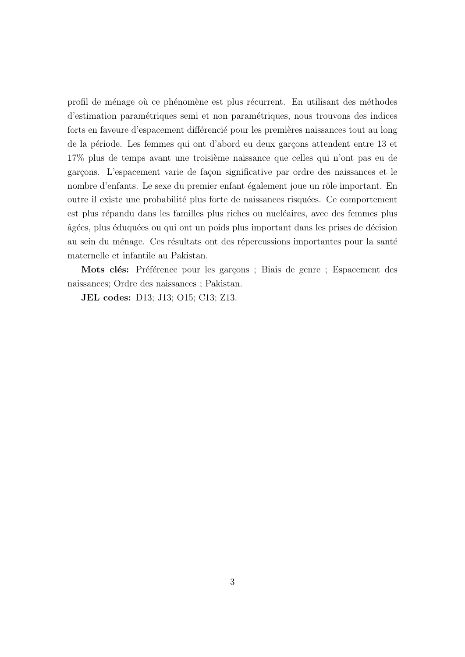profil de ménage où ce phénomène est plus récurrent. En utilisant des méthodes d'estimation param´etriques semi et non param´etriques, nous trouvons des indices forts en faveure d'espacement différencié pour les premières naissances tout au long de la période. Les femmes qui ont d'abord eu deux garçons attendent entre 13 et 17% plus de temps avant une troisième naissance que celles qui n'ont pas eu de garçons. L'espacement varie de façon significative par ordre des naissances et le nombre d'enfants. Le sexe du premier enfant également joue un rôle important. En outre il existe une probabilité plus forte de naissances risquées. Ce comportement est plus répandu dans les familles plus riches ou nucléaires, avec des femmes plus  $\hat{a}$ gées, plus éduquées ou qui ont un poids plus important dans les prises de décision au sein du ménage. Ces résultats ont des répercussions importantes pour la santé maternelle et infantile au Pakistan.

Mots clés: Préférence pour les garçons ; Biais de genre ; Espacement des naissances; Ordre des naissances ; Pakistan.

JEL codes: D13; J13; O15; C13; Z13.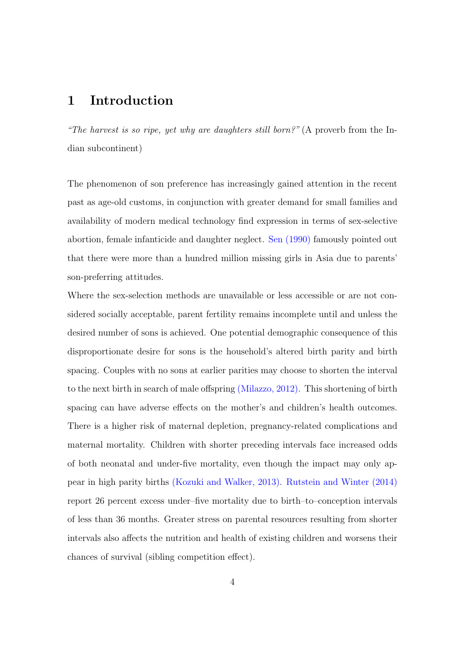## 1 Introduction

"The harvest is so ripe, yet why are daughters still born?" (A proverb from the Indian subcontinent)

The phenomenon of son preference has increasingly gained attention in the recent past as age-old customs, in conjunction with greater demand for small families and availability of modern medical technology find expression in terms of sex-selective abortion, female infanticide and daughter neglect. Sen [\(1990\)](#page-31-0) famously pointed out that there were more than a hundred million missing girls in Asia due to parents' son-preferring attitudes.

Where the sex-selection methods are unavailable or less accessible or are not considered socially acceptable, parent fertility remains incomplete until and unless the desired number of sons is achieved. One potential demographic consequence of this disproportionate desire for sons is the household's altered birth parity and birth spacing. Couples with no sons at earlier parities may choose to shorten the interval to the next birth in search of male offspring (Milazzo, [2012\)](#page-31-1). This shortening of birth spacing can have adverse effects on the mother's and children's health outcomes. There is a higher risk of maternal depletion, pregnancy-related complications and maternal mortality. Children with shorter preceding intervals face increased odds of both neonatal and under-five mortality, even though the impact may only appear in high parity births (Kozuki and Walker, [2013\)](#page-30-0). Rutstein and Winter [\(2014\)](#page-31-2) report 26 percent excess under–five mortality due to birth–to–conception intervals of less than 36 months. Greater stress on parental resources resulting from shorter intervals also affects the nutrition and health of existing children and worsens their chances of survival (sibling competition effect).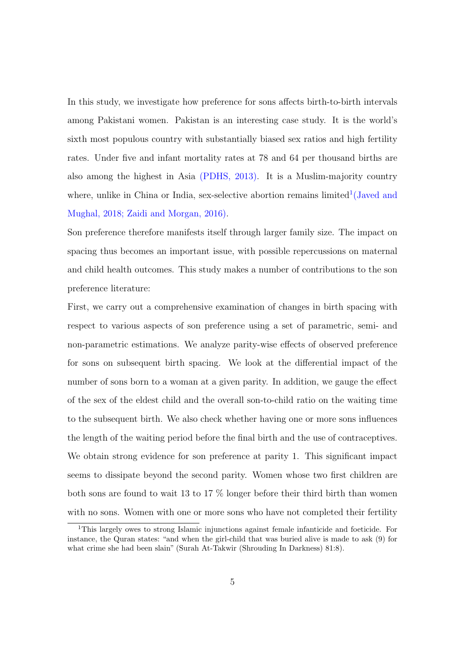In this study, we investigate how preference for sons affects birth-to-birth intervals among Pakistani women. Pakistan is an interesting case study. It is the world's sixth most populous country with substantially biased sex ratios and high fertility rates. Under five and infant mortality rates at 78 and 64 per thousand births are also among the highest in Asia (PDHS, [2013\)](#page-31-3). It is a Muslim-majority country where, unlike in China or India, sex-selective abortion remains  $limited^1$  $limited^1$  (Javed and Mughal, [2018;](#page-30-1) Zaidi and Morgan, [2016\)](#page-31-4).

Son preference therefore manifests itself through larger family size. The impact on spacing thus becomes an important issue, with possible repercussions on maternal and child health outcomes. This study makes a number of contributions to the son preference literature:

First, we carry out a comprehensive examination of changes in birth spacing with respect to various aspects of son preference using a set of parametric, semi- and non-parametric estimations. We analyze parity-wise effects of observed preference for sons on subsequent birth spacing. We look at the differential impact of the number of sons born to a woman at a given parity. In addition, we gauge the effect of the sex of the eldest child and the overall son-to-child ratio on the waiting time to the subsequent birth. We also check whether having one or more sons influences the length of the waiting period before the final birth and the use of contraceptives. We obtain strong evidence for son preference at parity 1. This significant impact seems to dissipate beyond the second parity. Women whose two first children are both sons are found to wait 13 to 17 % longer before their third birth than women with no sons. Women with one or more sons who have not completed their fertility

<span id="page-4-0"></span><sup>1</sup>This largely owes to strong Islamic injunctions against female infanticide and foeticide. For instance, the Quran states: "and when the girl-child that was buried alive is made to ask (9) for what crime she had been slain" (Surah At-Takwir (Shrouding In Darkness) 81:8).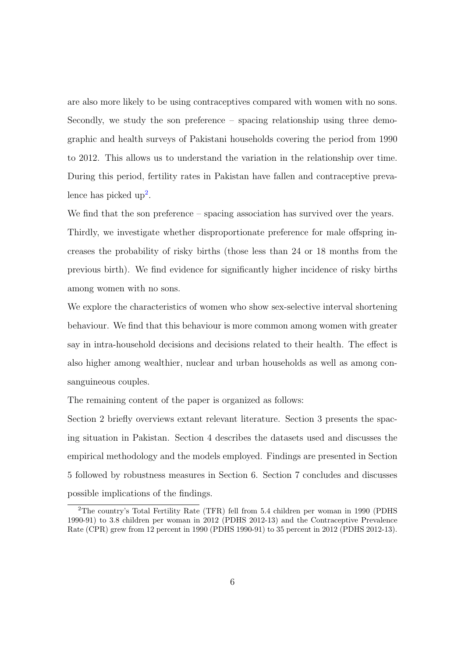are also more likely to be using contraceptives compared with women with no sons. Secondly, we study the son preference – spacing relationship using three demographic and health surveys of Pakistani households covering the period from 1990 to 2012. This allows us to understand the variation in the relationship over time. During this period, fertility rates in Pakistan have fallen and contraceptive preva-lence has picked up<sup>[2](#page-5-0)</sup>.

We find that the son preference – spacing association has survived over the years. Thirdly, we investigate whether disproportionate preference for male offspring increases the probability of risky births (those less than 24 or 18 months from the previous birth). We find evidence for significantly higher incidence of risky births among women with no sons.

We explore the characteristics of women who show sex-selective interval shortening behaviour. We find that this behaviour is more common among women with greater say in intra-household decisions and decisions related to their health. The effect is also higher among wealthier, nuclear and urban households as well as among consanguineous couples.

The remaining content of the paper is organized as follows:

Section 2 briefly overviews extant relevant literature. Section 3 presents the spacing situation in Pakistan. Section 4 describes the datasets used and discusses the empirical methodology and the models employed. Findings are presented in Section 5 followed by robustness measures in Section 6. Section 7 concludes and discusses possible implications of the findings.

<span id="page-5-0"></span><sup>2</sup>The country's Total Fertility Rate (TFR) fell from 5.4 children per woman in 1990 (PDHS 1990-91) to 3.8 children per woman in 2012 (PDHS 2012-13) and the Contraceptive Prevalence Rate (CPR) grew from 12 percent in 1990 (PDHS 1990-91) to 35 percent in 2012 (PDHS 2012-13).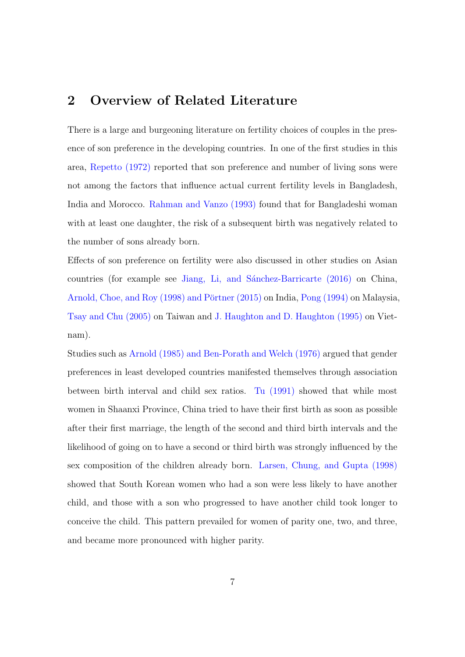## 2 Overview of Related Literature

There is a large and burgeoning literature on fertility choices of couples in the presence of son preference in the developing countries. In one of the first studies in this area, Repetto [\(1972\)](#page-31-5) reported that son preference and number of living sons were not among the factors that influence actual current fertility levels in Bangladesh, India and Morocco. Rahman and Vanzo [\(1993\)](#page-31-6) found that for Bangladeshi woman with at least one daughter, the risk of a subsequent birth was negatively related to the number of sons already born.

Effects of son preference on fertility were also discussed in other studies on Asian countries (for example see Jiang, Li, and Sánchez-Barricarte [\(2016\)](#page-30-2) on China, Arnold, Choe, and Roy [\(1998\)](#page-30-3) and Pörtner [\(2015\)](#page-31-7) on India, Pong [\(1994\)](#page-31-8) on Malaysia, Tsay and Chu [\(2005\)](#page-31-9) on Taiwan and J. Haughton and D. Haughton [\(1995\)](#page-30-4) on Vietnam).

Studies such as Arnold [\(1985\)](#page-30-5) and Ben-Porath and Welch [\(1976\)](#page-30-6) argued that gender preferences in least developed countries manifested themselves through association between birth interval and child sex ratios. Tu [\(1991\)](#page-31-10) showed that while most women in Shaanxi Province, China tried to have their first birth as soon as possible after their first marriage, the length of the second and third birth intervals and the likelihood of going on to have a second or third birth was strongly influenced by the sex composition of the children already born. Larsen, Chung, and Gupta [\(1998\)](#page-31-11) showed that South Korean women who had a son were less likely to have another child, and those with a son who progressed to have another child took longer to conceive the child. This pattern prevailed for women of parity one, two, and three, and became more pronounced with higher parity.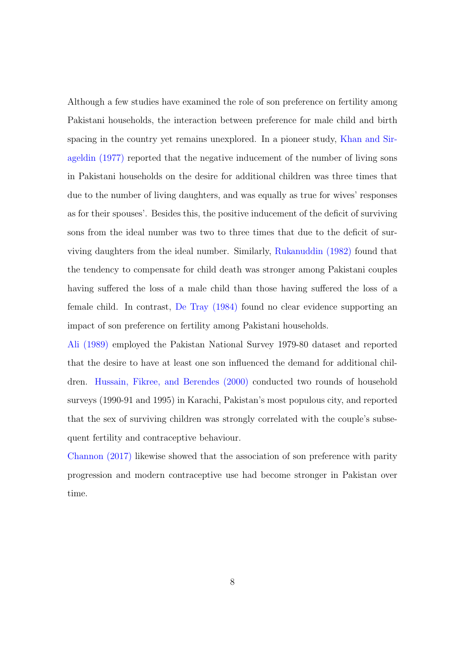Although a few studies have examined the role of son preference on fertility among Pakistani households, the interaction between preference for male child and birth spacing in the country yet remains unexplored. In a pioneer study, Khan and Sirageldin [\(1977\)](#page-30-7) reported that the negative inducement of the number of living sons in Pakistani households on the desire for additional children was three times that due to the number of living daughters, and was equally as true for wives' responses as for their spouses'. Besides this, the positive inducement of the deficit of surviving sons from the ideal number was two to three times that due to the deficit of surviving daughters from the ideal number. Similarly, Rukanuddin [\(1982\)](#page-31-12) found that the tendency to compensate for child death was stronger among Pakistani couples having suffered the loss of a male child than those having suffered the loss of a female child. In contrast, De Tray [\(1984\)](#page-30-8) found no clear evidence supporting an impact of son preference on fertility among Pakistani households.

Ali [\(1989\)](#page-30-9) employed the Pakistan National Survey 1979-80 dataset and reported that the desire to have at least one son influenced the demand for additional children. Hussain, Fikree, and Berendes [\(2000\)](#page-30-10) conducted two rounds of household surveys (1990-91 and 1995) in Karachi, Pakistan's most populous city, and reported that the sex of surviving children was strongly correlated with the couple's subsequent fertility and contraceptive behaviour.

Channon [\(2017\)](#page-30-11) likewise showed that the association of son preference with parity progression and modern contraceptive use had become stronger in Pakistan over time.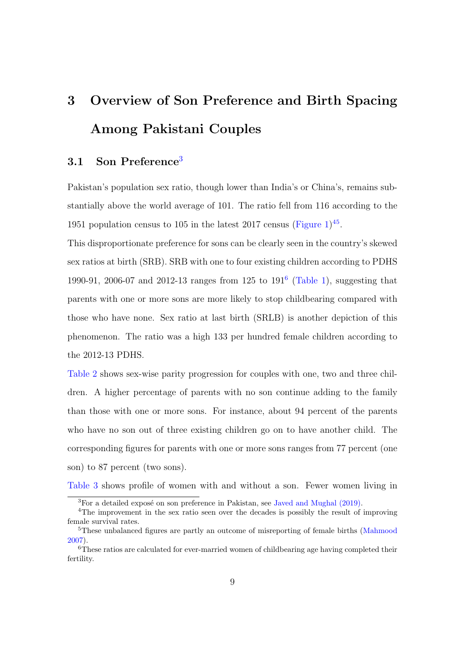# 3 Overview of Son Preference and Birth Spacing Among Pakistani Couples

### [3](#page-8-0).1 Son Preference<sup>3</sup>

Pakistan's population sex ratio, though lower than India's or China's, remains substantially above the world average of 101. The ratio fell from 116 according to the 19[5](#page-8-2)1 population census to 105 in the latest 2017 census (Figure  $1$ )<sup>[4](#page-8-1)5</sup>.

This disproportionate preference for sons can be clearly seen in the country's skewed sex ratios at birth (SRB). SRB with one to four existing children according to PDHS 1990-91, 2006-07 and 2012-13 ranges from 125 to 191[6](#page-8-3) (Table [1\)](#page-33-0), suggesting that parents with one or more sons are more likely to stop childbearing compared with those who have none. Sex ratio at last birth (SRLB) is another depiction of this phenomenon. The ratio was a high 133 per hundred female children according to the 2012-13 PDHS.

Table [2](#page-33-1) shows sex-wise parity progression for couples with one, two and three children. A higher percentage of parents with no son continue adding to the family than those with one or more sons. For instance, about 94 percent of the parents who have no son out of three existing children go on to have another child. The corresponding figures for parents with one or more sons ranges from 77 percent (one son) to 87 percent (two sons).

Table [3](#page-33-2) shows profile of women with and without a son. Fewer women living in

<span id="page-8-1"></span><span id="page-8-0"></span> ${}^{3}$ For a detailed exposé on son preference in Pakistan, see Javed and Mughal [\(2019\)](#page-30-12).

<sup>&</sup>lt;sup>4</sup>The improvement in the sex ratio seen over the decades is possibly the result of improving female survival rates.

<span id="page-8-2"></span><sup>&</sup>lt;sup>5</sup>These unbalanced figures are partly an outcome of misreporting of female births (Mahmood 2007).

<span id="page-8-3"></span><sup>&</sup>lt;sup>6</sup>These ratios are calculated for ever-married women of childbearing age having completed their fertility.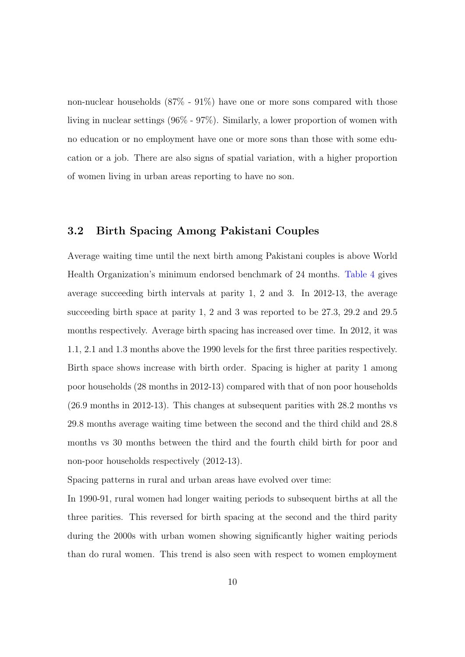non-nuclear households (87% - 91%) have one or more sons compared with those living in nuclear settings (96% - 97%). Similarly, a lower proportion of women with no education or no employment have one or more sons than those with some education or a job. There are also signs of spatial variation, with a higher proportion of women living in urban areas reporting to have no son.

#### 3.2 Birth Spacing Among Pakistani Couples

Average waiting time until the next birth among Pakistani couples is above World Health Organization's minimum endorsed benchmark of 24 months. Table [4](#page-34-0) gives average succeeding birth intervals at parity 1, 2 and 3. In 2012-13, the average succeeding birth space at parity 1, 2 and 3 was reported to be 27.3, 29.2 and 29.5 months respectively. Average birth spacing has increased over time. In 2012, it was 1.1, 2.1 and 1.3 months above the 1990 levels for the first three parities respectively. Birth space shows increase with birth order. Spacing is higher at parity 1 among poor households (28 months in 2012-13) compared with that of non poor households (26.9 months in 2012-13). This changes at subsequent parities with 28.2 months vs 29.8 months average waiting time between the second and the third child and 28.8 months vs 30 months between the third and the fourth child birth for poor and non-poor households respectively (2012-13).

Spacing patterns in rural and urban areas have evolved over time:

In 1990-91, rural women had longer waiting periods to subsequent births at all the three parities. This reversed for birth spacing at the second and the third parity during the 2000s with urban women showing significantly higher waiting periods than do rural women. This trend is also seen with respect to women employment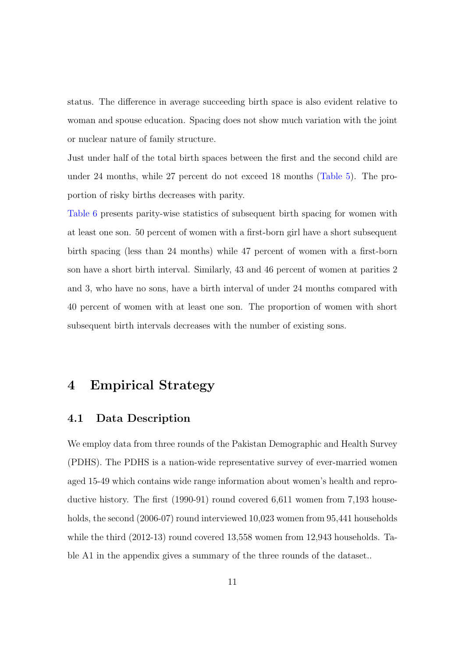status. The difference in average succeeding birth space is also evident relative to woman and spouse education. Spacing does not show much variation with the joint or nuclear nature of family structure.

Just under half of the total birth spaces between the first and the second child are under 24 months, while 27 percent do not exceed 18 months (Table [5\)](#page-34-1). The proportion of risky births decreases with parity.

Table [6](#page-35-0) presents parity-wise statistics of subsequent birth spacing for women with at least one son. 50 percent of women with a first-born girl have a short subsequent birth spacing (less than 24 months) while 47 percent of women with a first-born son have a short birth interval. Similarly, 43 and 46 percent of women at parities 2 and 3, who have no sons, have a birth interval of under 24 months compared with 40 percent of women with at least one son. The proportion of women with short subsequent birth intervals decreases with the number of existing sons.

## 4 Empirical Strategy

#### 4.1 Data Description

We employ data from three rounds of the Pakistan Demographic and Health Survey (PDHS). The PDHS is a nation-wide representative survey of ever-married women aged 15-49 which contains wide range information about women's health and reproductive history. The first (1990-91) round covered 6,611 women from 7,193 households, the second (2006-07) round interviewed 10,023 women from 95,441 households while the third (2012-13) round covered 13,558 women from 12,943 households. Table A1 in the appendix gives a summary of the three rounds of the dataset..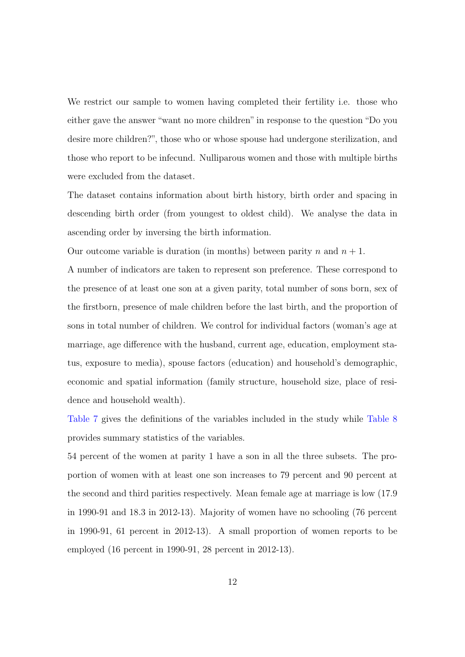We restrict our sample to women having completed their fertility i.e. those who either gave the answer "want no more children" in response to the question "Do you desire more children?", those who or whose spouse had undergone sterilization, and those who report to be infecund. Nulliparous women and those with multiple births were excluded from the dataset.

The dataset contains information about birth history, birth order and spacing in descending birth order (from youngest to oldest child). We analyse the data in ascending order by inversing the birth information.

Our outcome variable is duration (in months) between parity *n* and  $n + 1$ .

A number of indicators are taken to represent son preference. These correspond to the presence of at least one son at a given parity, total number of sons born, sex of the firstborn, presence of male children before the last birth, and the proportion of sons in total number of children. We control for individual factors (woman's age at marriage, age difference with the husband, current age, education, employment status, exposure to media), spouse factors (education) and household's demographic, economic and spatial information (family structure, household size, place of residence and household wealth).

Table [7](#page-36-0) gives the definitions of the variables included in the study while Table [8](#page-37-0) provides summary statistics of the variables.

54 percent of the women at parity 1 have a son in all the three subsets. The proportion of women with at least one son increases to 79 percent and 90 percent at the second and third parities respectively. Mean female age at marriage is low (17.9 in 1990-91 and 18.3 in 2012-13). Majority of women have no schooling (76 percent in 1990-91, 61 percent in 2012-13). A small proportion of women reports to be employed (16 percent in 1990-91, 28 percent in 2012-13).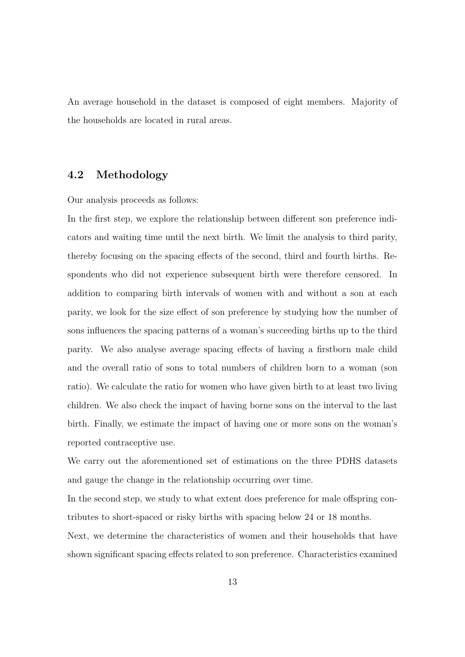An average household in the dataset is composed of eight members. Majority of the households are located in rural areas.

#### 4.2 Methodology

Our analysis proceeds as follows:

In the first step, we explore the relationship between different son preference indicators and waiting time until the next birth. We limit the analysis to third parity, thereby focusing on the spacing effects of the second, third and fourth births. Respondents who did not experience subsequent birth were therefore censored. In addition to comparing birth intervals of women with and without a son at each parity, we look for the size effect of son preference by studying how the number of sons influences the spacing patterns of a woman's succeeding births up to the third parity. We also analyse average spacing effects of having a firstborn male child and the overall ratio of sons to total numbers of children born to a woman (son ratio). We calculate the ratio for women who have given birth to at least two living children. We also check the impact of having borne sons on the interval to the last birth. Finally, we estimate the impact of having one or more sons on the woman's reported contraceptive use.

We carry out the aforementioned set of estimations on the three PDHS datasets and gauge the change in the relationship occurring over time.

In the second step, we study to what extent does preference for male offspring contributes to short-spaced or risky births with spacing below 24 or 18 months.

Next, we determine the characteristics of women and their households that have shown significant spacing effects related to son preference. Characteristics examined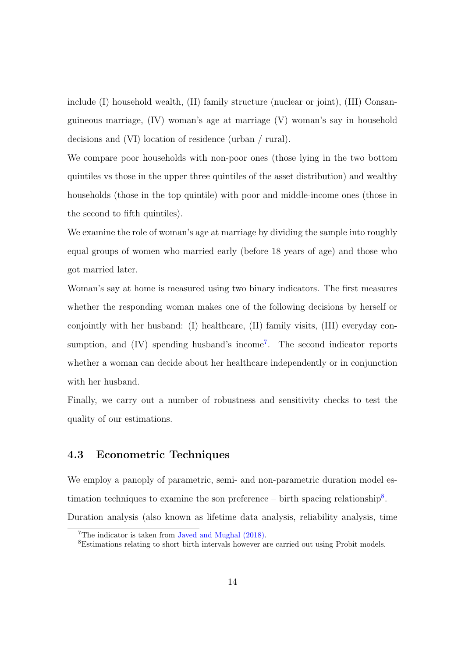include (I) household wealth, (II) family structure (nuclear or joint), (III) Consanguineous marriage, (IV) woman's age at marriage (V) woman's say in household decisions and (VI) location of residence (urban / rural).

We compare poor households with non-poor ones (those lying in the two bottom quintiles vs those in the upper three quintiles of the asset distribution) and wealthy households (those in the top quintile) with poor and middle-income ones (those in the second to fifth quintiles).

We examine the role of woman's age at marriage by dividing the sample into roughly equal groups of women who married early (before 18 years of age) and those who got married later.

Woman's say at home is measured using two binary indicators. The first measures whether the responding woman makes one of the following decisions by herself or conjointly with her husband: (I) healthcare, (II) family visits, (III) everyday con-sumption, and (IV) spending husband's income<sup>[7](#page-13-0)</sup>. The second indicator reports whether a woman can decide about her healthcare independently or in conjunction with her husband.

Finally, we carry out a number of robustness and sensitivity checks to test the quality of our estimations.

#### 4.3 Econometric Techniques

We employ a panoply of parametric, semi- and non-parametric duration model estimation techniques to examine the son preference  $-$  birth spacing relationship<sup>[8](#page-13-1)</sup>. Duration analysis (also known as lifetime data analysis, reliability analysis, time

<span id="page-13-0"></span><sup>7</sup>The indicator is taken from Javed and Mughal [\(2018\)](#page-30-1).

<span id="page-13-1"></span><sup>8</sup>Estimations relating to short birth intervals however are carried out using Probit models.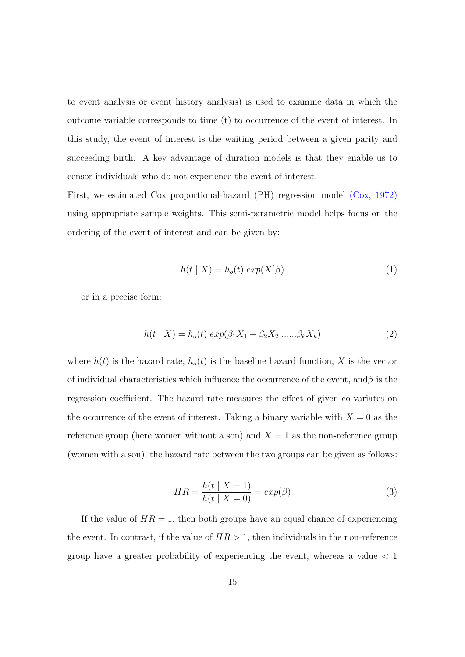to event analysis or event history analysis) is used to examine data in which the outcome variable corresponds to time (t) to occurrence of the event of interest. In this study, the event of interest is the waiting period between a given parity and succeeding birth. A key advantage of duration models is that they enable us to censor individuals who do not experience the event of interest.

First, we estimated Cox proportional-hazard (PH) regression model (Cox, [1972\)](#page-30-13) using appropriate sample weights. This semi-parametric model helps focus on the ordering of the event of interest and can be given by:

$$
h(t | X) = h_o(t) \exp(X^t \beta)
$$
 (1)

or in a precise form:

$$
h(t | X) = h_o(t) \exp(\beta_1 X_1 + \beta_2 X_2 \dots \dots \beta_k X_k)
$$
 (2)

where  $h(t)$  is the hazard rate,  $h_o(t)$  is the baseline hazard function, X is the vector of individual characteristics which influence the occurrence of the event, and*β* is the regression coefficient. The hazard rate measures the effect of given co-variates on the occurrence of the event of interest. Taking a binary variable with  $X = 0$  as the reference group (here women without a son) and  $X = 1$  as the non-reference group (women with a son), the hazard rate between the two groups can be given as follows:

$$
HR = \frac{h(t \mid X = 1)}{h(t \mid X = 0)} = exp(\beta)
$$
\n
$$
(3)
$$

If the value of  $HR = 1$ , then both groups have an equal chance of experiencing the event. In contrast, if the value of  $HR > 1$ , then individuals in the non-reference group have a greater probability of experiencing the event, whereas a value *<* 1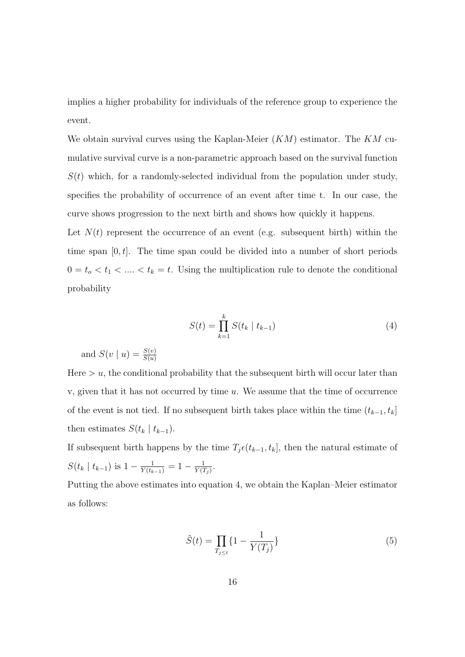implies a higher probability for individuals of the reference group to experience the event.

We obtain survival curves using the Kaplan-Meier (*KM*) estimator. The *KM* cumulative survival curve is a non-parametric approach based on the survival function  $S(t)$  which, for a randomly-selected individual from the population under study, specifies the probability of occurrence of an event after time t. In our case, the curve shows progression to the next birth and shows how quickly it happens.

Let  $N(t)$  represent the occurrence of an event (e.g. subsequent birth) within the time span [0*, t*]. The time span could be divided into a number of short periods  $0 = t_o < t_1 < \ldots < t_k = t$ . Using the multiplication rule to denote the conditional probability

$$
S(t) = \prod_{k=1}^{k} S(t_k \mid t_{k-1})
$$
\n(4)

and  $S(v | u) = \frac{S(v)}{S(u)}$ 

Here  $> u$ , the conditional probability that the subsequent birth will occur later than v, given that it has not occurred by time *u*. We assume that the time of occurrence of the event is not tied. If no subsequent birth takes place within the time  $(t_{k-1}, t_k]$ then estimates  $S(t_k | t_{k-1})$ .

If subsequent birth happens by the time  $T_j \epsilon(t_{k-1}, t_k]$ , then the natural estimate of  $S(t_k | t_{k-1})$  is  $1 - \frac{1}{Y(t_{k-1})} = 1 - \frac{1}{Y(1)}$  $\frac{1}{Y(T_j)}$ .

Putting the above estimates into equation 4, we obtain the Kaplan–Meier estimator as follows:

$$
\hat{S}(t) = \prod_{T_j \le t} \{1 - \frac{1}{Y(T_j)}\}\tag{5}
$$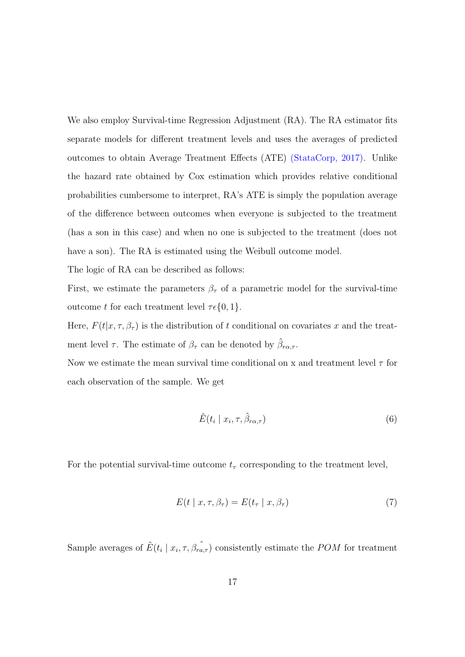We also employ Survival-time Regression Adjustment (RA). The RA estimator fits separate models for different treatment levels and uses the averages of predicted outcomes to obtain Average Treatment Effects (ATE) (StataCorp, [2017\)](#page-31-13). Unlike the hazard rate obtained by Cox estimation which provides relative conditional probabilities cumbersome to interpret, RA's ATE is simply the population average of the difference between outcomes when everyone is subjected to the treatment (has a son in this case) and when no one is subjected to the treatment (does not have a son). The RA is estimated using the Weibull outcome model.

The logic of RA can be described as follows:

First, we estimate the parameters  $\beta_{\tau}$  of a parametric model for the survival-time outcome *t* for each treatment level  $τ ∈ {0, 1}.$ 

Here,  $F(t|x, \tau, \beta_{\tau})$  is the distribution of *t* conditional on covariates *x* and the treatment level  $\tau$ . The estimate of  $\beta_{\tau}$  can be denoted by  $\hat{\beta}_{r\alpha,\tau}$ .

Now we estimate the mean survival time conditional on x and treatment level  $\tau$  for each observation of the sample. We get

$$
\hat{E}(t_i \mid x_i, \tau, \hat{\beta}_{r\alpha, \tau}) \tag{6}
$$

For the potential survival-time outcome  $t<sub>\tau</sub>$  corresponding to the treatment level,

$$
E(t \mid x, \tau, \beta_{\tau}) = E(t_{\tau} \mid x, \beta_{\tau}) \tag{7}
$$

Sample averages of  $\hat{E}(t_i | x_i, \tau, \hat{\beta}_{ra,\tau})$  consistently estimate the *POM* for treatment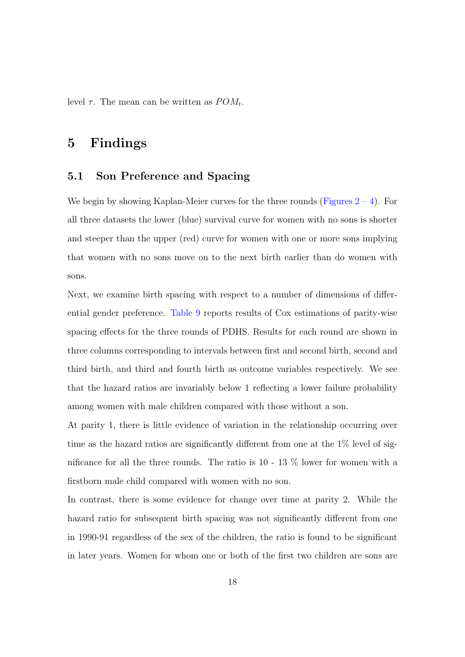level  $\tau$ . The mean can be written as  $POM_t$ .

## 5 Findings

#### 5.1 Son Preference and Spacing

We begin by showing Kaplan-Meier curves for the three rounds (Figures  $2 - 4$  $2 - 4$ ). For all three datasets the lower (blue) survival curve for women with no sons is shorter and steeper than the upper (red) curve for women with one or more sons implying that women with no sons move on to the next birth earlier than do women with sons.

Next, we examine birth spacing with respect to a number of dimensions of differential gender preference. Table [9](#page-41-0) reports results of Cox estimations of parity-wise spacing effects for the three rounds of PDHS. Results for each round are shown in three columns corresponding to intervals between first and second birth, second and third birth, and third and fourth birth as outcome variables respectively. We see that the hazard ratios are invariably below 1 reflecting a lower failure probability among women with male children compared with those without a son.

At parity 1, there is little evidence of variation in the relationship occurring over time as the hazard ratios are significantly different from one at the 1% level of significance for all the three rounds. The ratio is 10 - 13 % lower for women with a firstborn male child compared with women with no son.

In contrast, there is some evidence for change over time at parity 2. While the hazard ratio for subsequent birth spacing was not significantly different from one in 1990-91 regardless of the sex of the children, the ratio is found to be significant in later years. Women for whom one or both of the first two children are sons are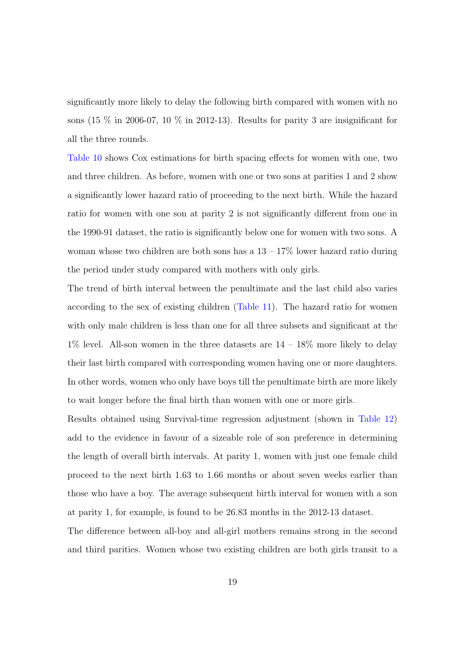significantly more likely to delay the following birth compared with women with no sons (15  $\%$  in 2006-07, 10  $\%$  in 2012-13). Results for parity 3 are insignificant for all the three rounds.

Table [10](#page-41-1) shows Cox estimations for birth spacing effects for women with one, two and three children. As before, women with one or two sons at parities 1 and 2 show a significantly lower hazard ratio of proceeding to the next birth. While the hazard ratio for women with one son at parity 2 is not significantly different from one in the 1990-91 dataset, the ratio is significantly below one for women with two sons. A woman whose two children are both sons has a  $13 - 17\%$  lower hazard ratio during the period under study compared with mothers with only girls.

The trend of birth interval between the penultimate and the last child also varies according to the sex of existing children (Table [11\)](#page-41-2). The hazard ratio for women with only male children is less than one for all three subsets and significant at the  $1\%$  level. All-son women in the three datasets are  $14 - 18\%$  more likely to delay their last birth compared with corresponding women having one or more daughters. In other words, women who only have boys till the penultimate birth are more likely to wait longer before the final birth than women with one or more girls.

Results obtained using Survival-time regression adjustment (shown in Table [12\)](#page-42-0) add to the evidence in favour of a sizeable role of son preference in determining the length of overall birth intervals. At parity 1, women with just one female child proceed to the next birth 1.63 to 1.66 months or about seven weeks earlier than those who have a boy. The average subsequent birth interval for women with a son at parity 1, for example, is found to be 26.83 months in the 2012-13 dataset.

The difference between all-boy and all-girl mothers remains strong in the second and third parities. Women whose two existing children are both girls transit to a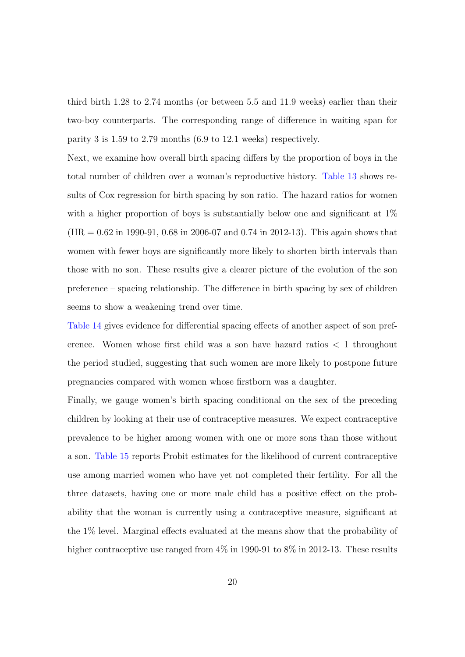third birth 1.28 to 2.74 months (or between 5.5 and 11.9 weeks) earlier than their two-boy counterparts. The corresponding range of difference in waiting span for parity 3 is 1.59 to 2.79 months (6.9 to 12.1 weeks) respectively.

Next, we examine how overall birth spacing differs by the proportion of boys in the total number of children over a woman's reproductive history. Table [13](#page-42-1) shows results of Cox regression for birth spacing by son ratio. The hazard ratios for women with a higher proportion of boys is substantially below one and significant at  $1\%$  $(HR = 0.62$  in 1990-91, 0.68 in 2006-07 and 0.74 in 2012-13). This again shows that women with fewer boys are significantly more likely to shorten birth intervals than those with no son. These results give a clearer picture of the evolution of the son preference – spacing relationship. The difference in birth spacing by sex of children seems to show a weakening trend over time.

Table [14](#page-42-2) gives evidence for differential spacing effects of another aspect of son preference. Women whose first child was a son have hazard ratios *<* 1 throughout the period studied, suggesting that such women are more likely to postpone future pregnancies compared with women whose firstborn was a daughter.

Finally, we gauge women's birth spacing conditional on the sex of the preceding children by looking at their use of contraceptive measures. We expect contraceptive prevalence to be higher among women with one or more sons than those without a son. Table [15](#page-42-3) reports Probit estimates for the likelihood of current contraceptive use among married women who have yet not completed their fertility. For all the three datasets, having one or more male child has a positive effect on the probability that the woman is currently using a contraceptive measure, significant at the 1% level. Marginal effects evaluated at the means show that the probability of higher contraceptive use ranged from  $4\%$  in 1990-91 to 8% in 2012-13. These results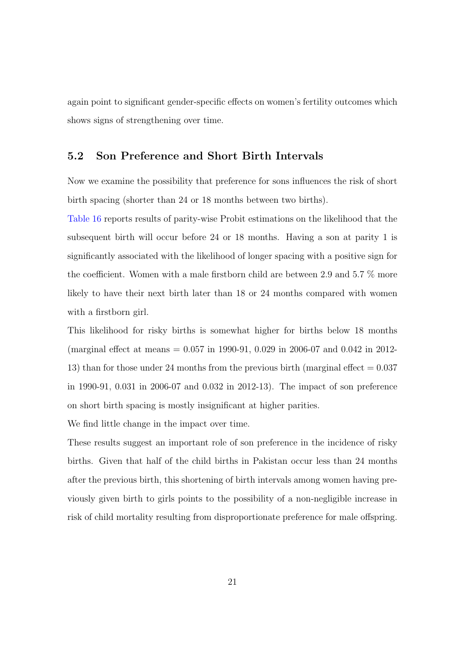again point to significant gender-specific effects on women's fertility outcomes which shows signs of strengthening over time.

#### 5.2 Son Preference and Short Birth Intervals

Now we examine the possibility that preference for sons influences the risk of short birth spacing (shorter than 24 or 18 months between two births).

Table [16](#page-43-0) reports results of parity-wise Probit estimations on the likelihood that the subsequent birth will occur before 24 or 18 months. Having a son at parity 1 is significantly associated with the likelihood of longer spacing with a positive sign for the coefficient. Women with a male firstborn child are between 2.9 and 5.7 % more likely to have their next birth later than 18 or 24 months compared with women with a firstborn girl.

This likelihood for risky births is somewhat higher for births below 18 months (marginal effect at means = 0.057 in 1990-91, 0.029 in 2006-07 and 0.042 in 2012- 13) than for those under 24 months from the previous birth (marginal effect = 0.037 in 1990-91, 0.031 in 2006-07 and 0.032 in 2012-13). The impact of son preference on short birth spacing is mostly insignificant at higher parities.

We find little change in the impact over time.

These results suggest an important role of son preference in the incidence of risky births. Given that half of the child births in Pakistan occur less than 24 months after the previous birth, this shortening of birth intervals among women having previously given birth to girls points to the possibility of a non-negligible increase in risk of child mortality resulting from disproportionate preference for male offspring.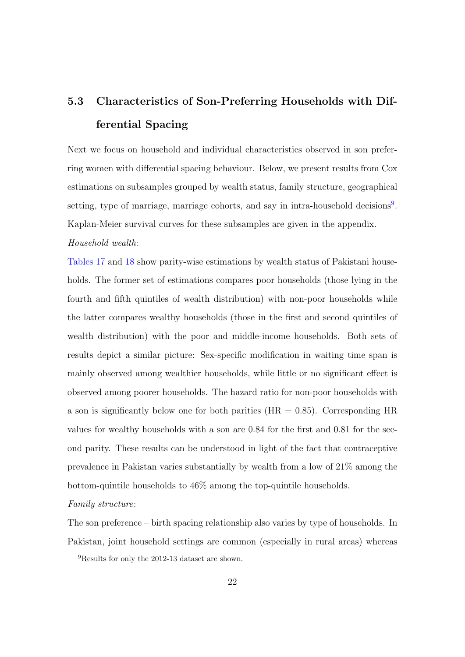## 5.3 Characteristics of Son-Preferring Households with Differential Spacing

Next we focus on household and individual characteristics observed in son preferring women with differential spacing behaviour. Below, we present results from Cox estimations on subsamples grouped by wealth status, family structure, geographical setting, type of marriage, marriage cohorts, and say in intra-household decisions<sup>[9](#page-21-0)</sup>. Kaplan-Meier survival curves for these subsamples are given in the appendix.

#### Household wealth:

Tables [17](#page-43-1) and [18](#page-43-2) show parity-wise estimations by wealth status of Pakistani households. The former set of estimations compares poor households (those lying in the fourth and fifth quintiles of wealth distribution) with non-poor households while the latter compares wealthy households (those in the first and second quintiles of wealth distribution) with the poor and middle-income households. Both sets of results depict a similar picture: Sex-specific modification in waiting time span is mainly observed among wealthier households, while little or no significant effect is observed among poorer households. The hazard ratio for non-poor households with a son is significantly below one for both parities  $(HR = 0.85)$ . Corresponding HR values for wealthy households with a son are 0.84 for the first and 0.81 for the second parity. These results can be understood in light of the fact that contraceptive prevalence in Pakistan varies substantially by wealth from a low of 21% among the bottom-quintile households to 46% among the top-quintile households.

#### Family structure:

The son preference – birth spacing relationship also varies by type of households. In Pakistan, joint household settings are common (especially in rural areas) whereas

<span id="page-21-0"></span><sup>9</sup>Results for only the 2012-13 dataset are shown.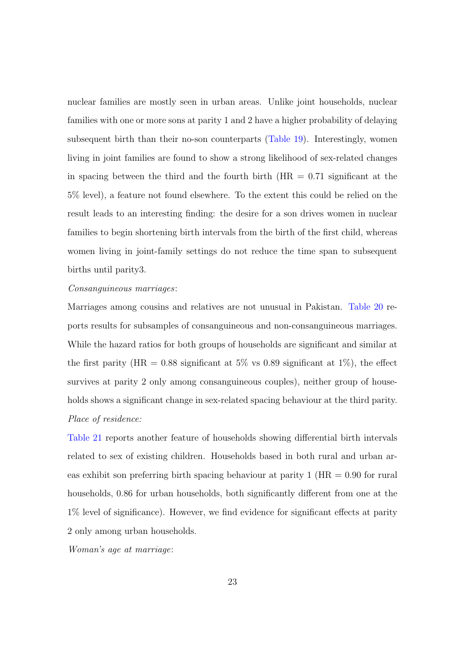nuclear families are mostly seen in urban areas. Unlike joint households, nuclear families with one or more sons at parity 1 and 2 have a higher probability of delaying subsequent birth than their no-son counterparts (Table [19\)](#page-44-0). Interestingly, women living in joint families are found to show a strong likelihood of sex-related changes in spacing between the third and the fourth birth  $(HR = 0.71)$  significant at the 5% level), a feature not found elsewhere. To the extent this could be relied on the result leads to an interesting finding: the desire for a son drives women in nuclear families to begin shortening birth intervals from the birth of the first child, whereas women living in joint-family settings do not reduce the time span to subsequent births until parity3.

#### Consanguineous marriages:

Marriages among cousins and relatives are not unusual in Pakistan. Table [20](#page-44-1) reports results for subsamples of consanguineous and non-consanguineous marriages. While the hazard ratios for both groups of households are significant and similar at the first parity (HR = 0.88 significant at 5% vs 0.89 significant at 1%), the effect survives at parity 2 only among consanguineous couples), neither group of households shows a significant change in sex-related spacing behaviour at the third parity. Place of residence:

Table [21](#page-44-2) reports another feature of households showing differential birth intervals related to sex of existing children. Households based in both rural and urban areas exhibit son preferring birth spacing behaviour at parity  $1$  (HR  $= 0.90$  for rural households, 0.86 for urban households, both significantly different from one at the 1% level of significance). However, we find evidence for significant effects at parity 2 only among urban households.

Woman's age at marriage: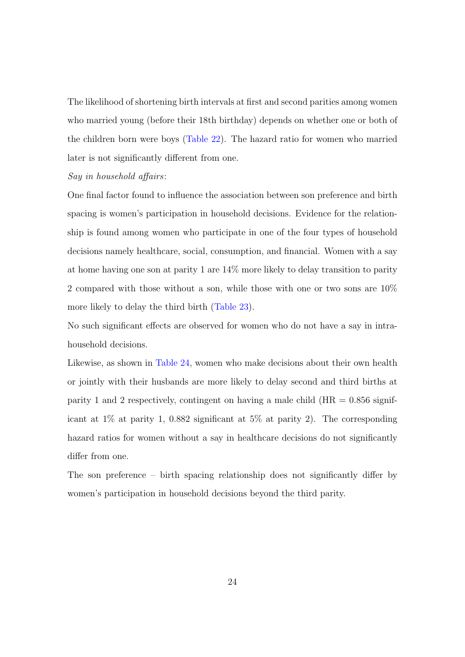The likelihood of shortening birth intervals at first and second parities among women who married young (before their 18th birthday) depends on whether one or both of the children born were boys (Table [22\)](#page-45-0). The hazard ratio for women who married later is not significantly different from one.

#### Say in household affairs:

One final factor found to influence the association between son preference and birth spacing is women's participation in household decisions. Evidence for the relationship is found among women who participate in one of the four types of household decisions namely healthcare, social, consumption, and financial. Women with a say at home having one son at parity 1 are 14% more likely to delay transition to parity 2 compared with those without a son, while those with one or two sons are 10% more likely to delay the third birth (Table [23\)](#page-45-1).

No such significant effects are observed for women who do not have a say in intrahousehold decisions.

Likewise, as shown in Table [24,](#page-45-2) women who make decisions about their own health or jointly with their husbands are more likely to delay second and third births at parity 1 and 2 respectively, contingent on having a male child ( $HR = 0.856$  significant at 1% at parity 1, 0.882 significant at 5% at parity 2). The corresponding hazard ratios for women without a say in healthcare decisions do not significantly differ from one.

The son preference – birth spacing relationship does not significantly differ by women's participation in household decisions beyond the third parity.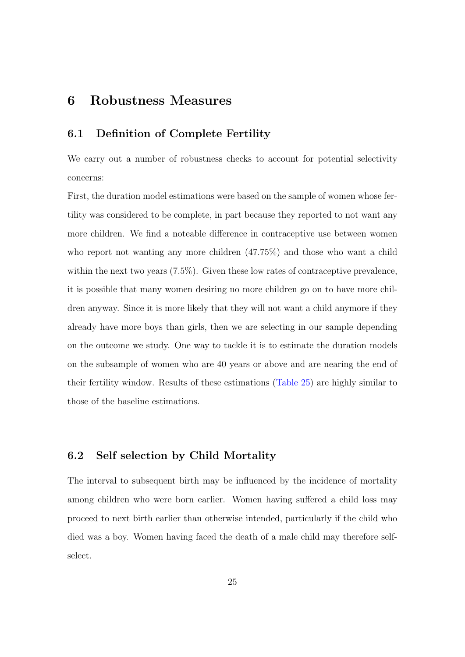## 6 Robustness Measures

#### 6.1 Definition of Complete Fertility

We carry out a number of robustness checks to account for potential selectivity concerns:

First, the duration model estimations were based on the sample of women whose fertility was considered to be complete, in part because they reported to not want any more children. We find a noteable difference in contraceptive use between women who report not wanting any more children  $(47.75%)$  and those who want a child within the next two years (7.5%). Given these low rates of contraceptive prevalence, it is possible that many women desiring no more children go on to have more children anyway. Since it is more likely that they will not want a child anymore if they already have more boys than girls, then we are selecting in our sample depending on the outcome we study. One way to tackle it is to estimate the duration models on the subsample of women who are 40 years or above and are nearing the end of their fertility window. Results of these estimations (Table [25\)](#page-46-0) are highly similar to those of the baseline estimations.

#### 6.2 Self selection by Child Mortality

The interval to subsequent birth may be influenced by the incidence of mortality among children who were born earlier. Women having suffered a child loss may proceed to next birth earlier than otherwise intended, particularly if the child who died was a boy. Women having faced the death of a male child may therefore selfselect.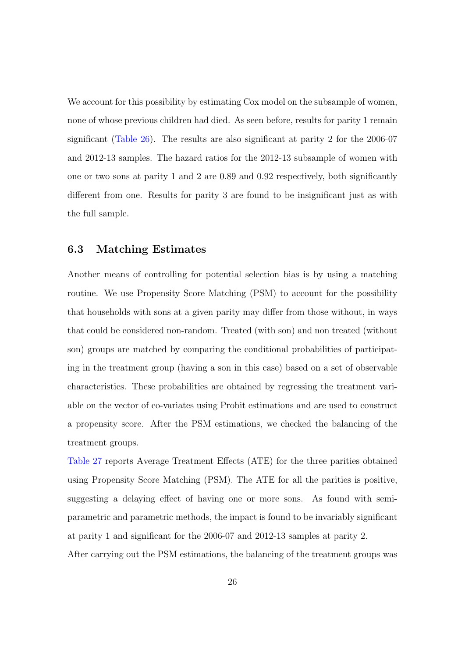We account for this possibility by estimating Cox model on the subsample of women, none of whose previous children had died. As seen before, results for parity 1 remain significant (Table [26\)](#page-46-1). The results are also significant at parity 2 for the 2006-07 and 2012-13 samples. The hazard ratios for the 2012-13 subsample of women with one or two sons at parity 1 and 2 are 0.89 and 0.92 respectively, both significantly different from one. Results for parity 3 are found to be insignificant just as with the full sample.

#### 6.3 Matching Estimates

Another means of controlling for potential selection bias is by using a matching routine. We use Propensity Score Matching (PSM) to account for the possibility that households with sons at a given parity may differ from those without, in ways that could be considered non-random. Treated (with son) and non treated (without son) groups are matched by comparing the conditional probabilities of participating in the treatment group (having a son in this case) based on a set of observable characteristics. These probabilities are obtained by regressing the treatment variable on the vector of co-variates using Probit estimations and are used to construct a propensity score. After the PSM estimations, we checked the balancing of the treatment groups.

Table [27](#page-46-2) reports Average Treatment Effects (ATE) for the three parities obtained using Propensity Score Matching (PSM). The ATE for all the parities is positive, suggesting a delaying effect of having one or more sons. As found with semiparametric and parametric methods, the impact is found to be invariably significant at parity 1 and significant for the 2006-07 and 2012-13 samples at parity 2. After carrying out the PSM estimations, the balancing of the treatment groups was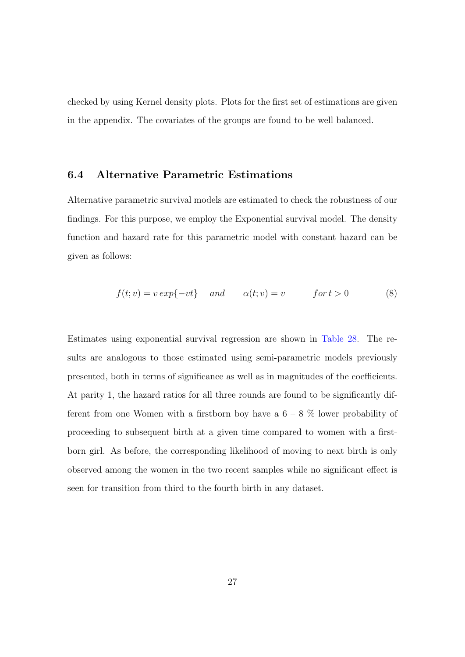checked by using Kernel density plots. Plots for the first set of estimations are given in the appendix. The covariates of the groups are found to be well balanced.

#### 6.4 Alternative Parametric Estimations

Alternative parametric survival models are estimated to check the robustness of our findings. For this purpose, we employ the Exponential survival model. The density function and hazard rate for this parametric model with constant hazard can be given as follows:

$$
f(t;v) = v \exp\{-vt\} \quad and \quad \alpha(t;v) = v \quad for \ t > 0 \tag{8}
$$

Estimates using exponential survival regression are shown in Table [28.](#page-47-0) The results are analogous to those estimated using semi-parametric models previously presented, both in terms of significance as well as in magnitudes of the coefficients. At parity 1, the hazard ratios for all three rounds are found to be significantly different from one Women with a firstborn boy have a  $6 - 8$  % lower probability of proceeding to subsequent birth at a given time compared to women with a firstborn girl. As before, the corresponding likelihood of moving to next birth is only observed among the women in the two recent samples while no significant effect is seen for transition from third to the fourth birth in any dataset.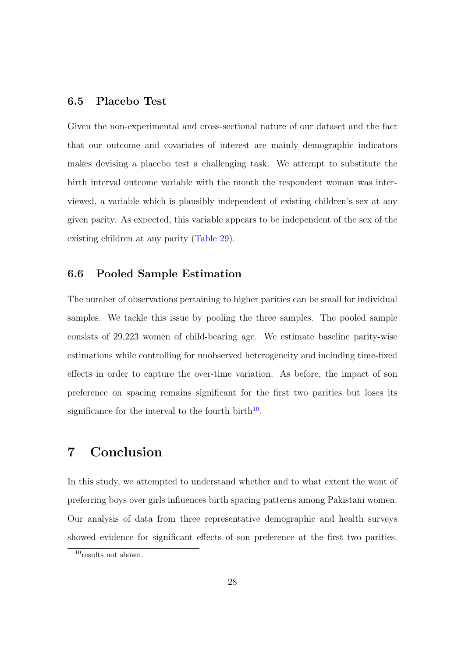#### 6.5 Placebo Test

Given the non-experimental and cross-sectional nature of our dataset and the fact that our outcome and covariates of interest are mainly demographic indicators makes devising a placebo test a challenging task. We attempt to substitute the birth interval outcome variable with the month the respondent woman was interviewed, a variable which is plausibly independent of existing children's sex at any given parity. As expected, this variable appears to be independent of the sex of the existing children at any parity (Table [29\)](#page-47-1).

#### 6.6 Pooled Sample Estimation

The number of observations pertaining to higher parities can be small for individual samples. We tackle this issue by pooling the three samples. The pooled sample consists of 29,223 women of child-bearing age. We estimate baseline parity-wise estimations while controlling for unobserved heterogeneity and including time-fixed effects in order to capture the over-time variation. As before, the impact of son preference on spacing remains significant for the first two parities but loses its significance for the interval to the fourth birth<sup>[10](#page-27-0)</sup>.

## 7 Conclusion

In this study, we attempted to understand whether and to what extent the wont of preferring boys over girls influences birth spacing patterns among Pakistani women. Our analysis of data from three representative demographic and health surveys showed evidence for significant effects of son preference at the first two parities.

<span id="page-27-0"></span> $10$ results not shown.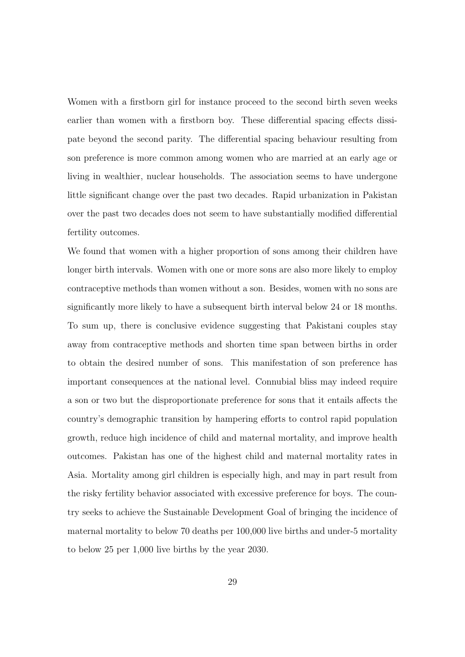Women with a firstborn girl for instance proceed to the second birth seven weeks earlier than women with a firstborn boy. These differential spacing effects dissipate beyond the second parity. The differential spacing behaviour resulting from son preference is more common among women who are married at an early age or living in wealthier, nuclear households. The association seems to have undergone little significant change over the past two decades. Rapid urbanization in Pakistan over the past two decades does not seem to have substantially modified differential fertility outcomes.

We found that women with a higher proportion of sons among their children have longer birth intervals. Women with one or more sons are also more likely to employ contraceptive methods than women without a son. Besides, women with no sons are significantly more likely to have a subsequent birth interval below 24 or 18 months. To sum up, there is conclusive evidence suggesting that Pakistani couples stay away from contraceptive methods and shorten time span between births in order to obtain the desired number of sons. This manifestation of son preference has important consequences at the national level. Connubial bliss may indeed require a son or two but the disproportionate preference for sons that it entails affects the country's demographic transition by hampering efforts to control rapid population growth, reduce high incidence of child and maternal mortality, and improve health outcomes. Pakistan has one of the highest child and maternal mortality rates in Asia. Mortality among girl children is especially high, and may in part result from the risky fertility behavior associated with excessive preference for boys. The country seeks to achieve the Sustainable Development Goal of bringing the incidence of maternal mortality to below 70 deaths per 100,000 live births and under-5 mortality to below 25 per 1,000 live births by the year 2030.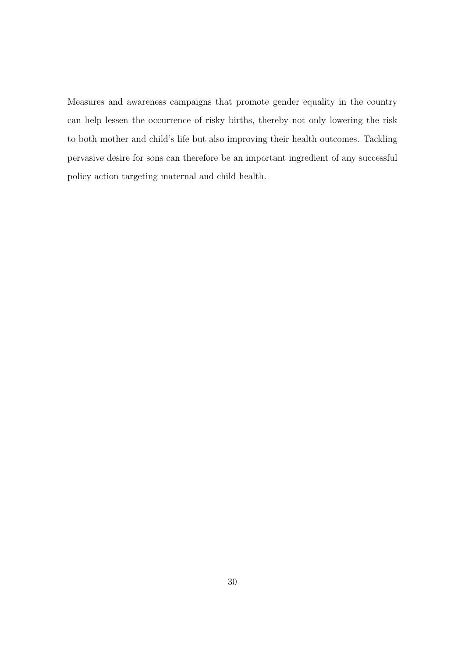Measures and awareness campaigns that promote gender equality in the country can help lessen the occurrence of risky births, thereby not only lowering the risk to both mother and child's life but also improving their health outcomes. Tackling pervasive desire for sons can therefore be an important ingredient of any successful policy action targeting maternal and child health.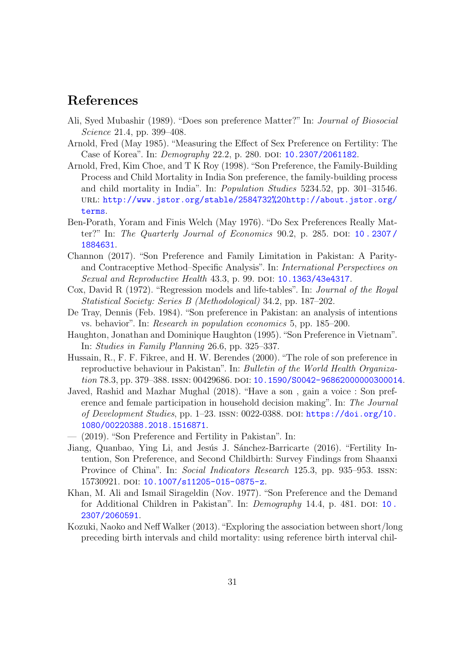## References

- <span id="page-30-9"></span>Ali, Syed Mubashir (1989). "Does son preference Matter?" In: Journal of Biosocial Science 21.4, pp. 399–408.
- <span id="page-30-5"></span>Arnold, Fred (May 1985). "Measuring the Effect of Sex Preference on Fertility: The Case of Korea". In: *Demography* 22.2, p. 280. DOI: [10.2307/2061182](https://doi.org/10.2307/2061182).
- <span id="page-30-3"></span>Arnold, Fred, Kim Choe, and T K Roy (1998). "Son Preference, the Family-Building Process and Child Mortality in India Son preference, the family-building process and child mortality in India". In: Population Studies 5234.52, pp. 301–31546. url: [http://www.jstor.org/stable/2584732%20http://about.jstor.org/](http://www.jstor.org/stable/2584732%20http://about.jstor.org/terms) [terms](http://www.jstor.org/stable/2584732%20http://about.jstor.org/terms).
- <span id="page-30-6"></span>Ben-Porath, Yoram and Finis Welch (May 1976). "Do Sex Preferences Really Matter?" In: The Quarterly Journal of Economics 90.2, p. 285. DOI:  $10.2307/$ [1884631](https://doi.org/10.2307/1884631).
- <span id="page-30-11"></span>Channon (2017). "Son Preference and Family Limitation in Pakistan: A Parityand Contraceptive Method–Specific Analysis". In: International Perspectives on Sexual and Reproductive Health 43.3, p. 99. DOI: [10.1363/43e4317](https://doi.org/10.1363/43e4317).
- <span id="page-30-13"></span>Cox, David R (1972). "Regression models and life-tables". In: Journal of the Royal Statistical Society: Series B (Methodological) 34.2, pp. 187–202.
- <span id="page-30-8"></span>De Tray, Dennis (Feb. 1984). "Son preference in Pakistan: an analysis of intentions vs. behavior". In: Research in population economics 5, pp. 185–200.
- <span id="page-30-4"></span>Haughton, Jonathan and Dominique Haughton (1995)."Son Preference in Vietnam". In: Studies in Family Planning 26.6, pp. 325–337.
- <span id="page-30-10"></span>Hussain, R., F. F. Fikree, and H. W. Berendes (2000). "The role of son preference in reproductive behaviour in Pakistan". In: Bulletin of the World Health Organiza-tion 78.3, pp. 379–388. ISSN: 00429686. DOI: [10.1590/S0042-96862000000300014](https://doi.org/10.1590/S0042-96862000000300014).
- <span id="page-30-1"></span>Javed, Rashid and Mazhar Mughal (2018). "Have a son , gain a voice : Son preference and female participation in household decision making". In: The Journal of Development Studies, pp. 1-23. ISSN: 0022-0388. DOI: [https://doi.org/10.](https://doi.org/https://doi.org/10.1080/00220388.2018.1516871) [1080/00220388.2018.1516871](https://doi.org/https://doi.org/10.1080/00220388.2018.1516871).
- <span id="page-30-12"></span>— (2019). "Son Preference and Fertility in Pakistan". In:
- <span id="page-30-2"></span>Jiang, Quanbao, Ying Li, and Jesús J. Sánchez-Barricarte (2016). "Fertility Intention, Son Preference, and Second Childbirth: Survey Findings from Shaanxi Province of China". In: Social Indicators Research 125.3, pp. 935–953. issn: 15730921. DOI: [10.1007/s11205-015-0875-z](https://doi.org/10.1007/s11205-015-0875-z).
- <span id="page-30-7"></span>Khan, M. Ali and Ismail Sirageldin (Nov. 1977). "Son Preference and the Demand for Additional Children in Pakistan". In: *Demography* 14.4, p. 481. DOI: 10. [2307/2060591](https://doi.org/10.2307/2060591).
- <span id="page-30-0"></span>Kozuki, Naoko and Neff Walker (2013)."Exploring the association between short/long preceding birth intervals and child mortality: using reference birth interval chil-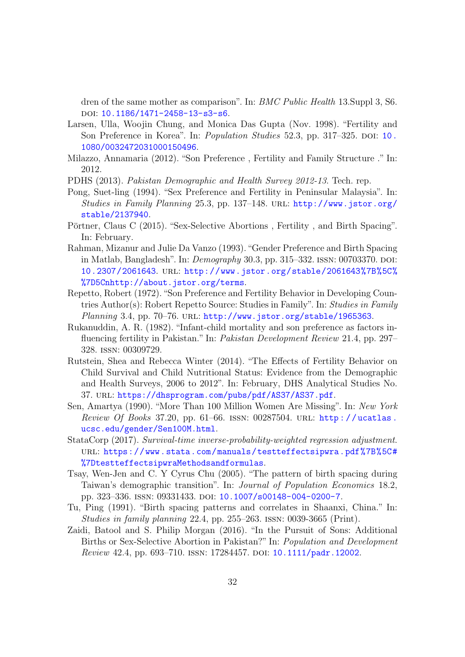dren of the same mother as comparison". In: BMC Public Health 13.Suppl 3, S6. DOI: [10.1186/1471-2458-13-s3-s6](https://doi.org/10.1186/1471-2458-13-s3-s6).

- <span id="page-31-11"></span>Larsen, Ulla, Woojin Chung, and Monica Das Gupta (Nov. 1998). "Fertility and Son Preference in Korea". In: *Population Studies* 52.3, pp. 317–325. DOI: [10.](https://doi.org/10.1080/0032472031000150496) [1080/0032472031000150496](https://doi.org/10.1080/0032472031000150496).
- <span id="page-31-1"></span>Milazzo, Annamaria (2012). "Son Preference , Fertility and Family Structure ." In: 2012.
- <span id="page-31-3"></span>PDHS (2013). Pakistan Demographic and Health Survey 2012-13. Tech. rep.
- <span id="page-31-8"></span>Pong, Suet-ling (1994). "Sex Preference and Fertility in Peninsular Malaysia". In: Studies in Family Planning 25.3, pp. 137–148. url: [http://www.jstor.org/](http://www.jstor.org/stable/2137940) [stable/2137940](http://www.jstor.org/stable/2137940).
- <span id="page-31-7"></span>Pörtner, Claus C (2015). "Sex-Selective Abortions, Fertility, and Birth Spacing". In: February.
- <span id="page-31-6"></span>Rahman, Mizanur and Julie Da Vanzo (1993)."Gender Preference and Birth Spacing in Matlab, Bangladesh". In:  $Demography$  30.3, pp. 315–332. ISSN: 00703370. DOI: [10.2307/2061643](https://doi.org/10.2307/2061643). url: [http://www.jstor.org/stable/2061643%7B%5C%](http://www.jstor.org/stable/2061643%7B%5C%%7D5Cnhttp://about.jstor.org/terms) [%7D5Cnhttp://about.jstor.org/terms](http://www.jstor.org/stable/2061643%7B%5C%%7D5Cnhttp://about.jstor.org/terms).
- <span id="page-31-5"></span>Repetto, Robert (1972)."Son Preference and Fertility Behavior in Developing Countries Author(s): Robert Repetto Source: Studies in Family". In: Studies in Family Planning 3.4, pp. 70-76. URL: <http://www.jstor.org/stable/1965363>.
- <span id="page-31-12"></span>Rukanuddin, A. R. (1982). "Infant-child mortality and son preference as factors influencing fertility in Pakistan." In: Pakistan Development Review 21.4, pp. 297– 328. issn: 00309729.
- <span id="page-31-2"></span>Rutstein, Shea and Rebecca Winter (2014). "The Effects of Fertility Behavior on Child Survival and Child Nutritional Status: Evidence from the Demographic and Health Surveys, 2006 to 2012". In: February, DHS Analytical Studies No. 37. url: <https://dhsprogram.com/pubs/pdf/AS37/AS37.pdf>.
- <span id="page-31-0"></span>Sen, Amartya (1990). "More Than 100 Million Women Are Missing". In: New York Review Of Books 37.20, pp. 61–66. ISSN: 00287504. URL: http://ucatlas. [ucsc.edu/gender/Sen100M.html](http://ucatlas.ucsc.edu/gender/Sen100M.html).
- <span id="page-31-13"></span>StataCorp (2017). Survival-time inverse-probability-weighted regression adjustment. url: [https://www.stata.com/manuals/testteffectsipwra.pdf%7B%5C#](https://www.stata.com/manuals/testteffectsipwra.pdf%7B%5C#%7DtestteffectsipwraMethodsandformulas) [%7DtestteffectsipwraMethodsandformulas](https://www.stata.com/manuals/testteffectsipwra.pdf%7B%5C#%7DtestteffectsipwraMethodsandformulas).
- <span id="page-31-9"></span>Tsay, Wen-Jen and C. Y Cyrus Chu (2005). "The pattern of birth spacing during Taiwan's demographic transition". In: Journal of Population Economics 18.2, pp. 323–336. issn: 09331433. doi: [10.1007/s00148-004-0200-7](https://doi.org/10.1007/s00148-004-0200-7).
- <span id="page-31-10"></span>Tu, Ping (1991). "Birth spacing patterns and correlates in Shaanxi, China." In: Studies in family planning 22.4, pp. 255–263. issn: 0039-3665 (Print).
- <span id="page-31-4"></span>Zaidi, Batool and S. Philip Morgan (2016). "In the Pursuit of Sons: Additional Births or Sex-Selective Abortion in Pakistan?" In: Population and Development Review 42.4, pp. 693-710. ISSN: 17284457. DOI: [10.1111/padr.12002](https://doi.org/10.1111/padr.12002).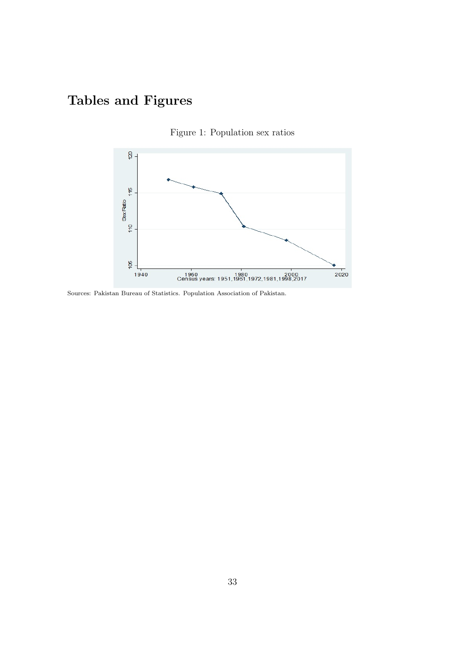## <span id="page-32-0"></span>Tables and Figures





Sources: Pakistan Bureau of Statistics. Population Association of Pakistan.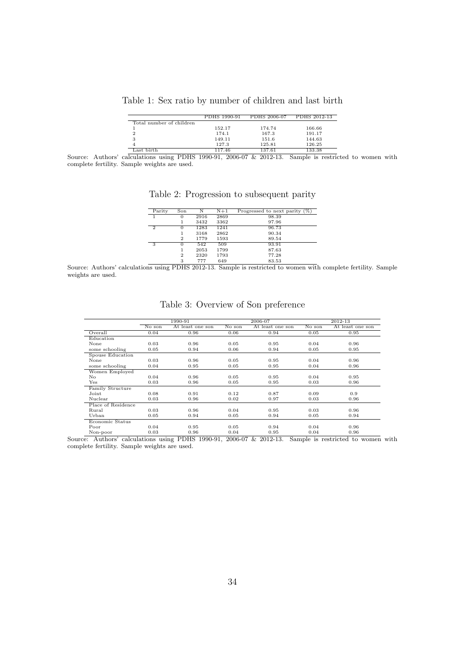| Table 1: Sex ratio by number of children and last birth |  |  |  |  |
|---------------------------------------------------------|--|--|--|--|
|                                                         |  |  |  |  |

|                          | PDHS 1990-91 | PDHS 2006-07 | PDHS 2012-13 |
|--------------------------|--------------|--------------|--------------|
| Total number of children |              |              |              |
|                          | 152.17       | 174.74       | 166.66       |
|                          | 174.1        | 167.3        | 191.17       |
|                          | 149.11       | 151.6        | 144.63       |
|                          | 127.3        | 125.81       | 126.25       |
| oot bisth                | 117 46       | 197.61       | 199.99       |

<span id="page-33-1"></span><span id="page-33-0"></span>127.3 125.81 126.25<br>
Source: Authors' calculations using PDHS 1990-91, 2006-07 & 2012-13. Sample is restricted to women with complete fertility. Sample weights are used.

Table 2: Progression to subsequent parity

| Parity        | Son          | Ν    | $N+1$ | Progressed to next parity $(\%)$ |
|---------------|--------------|------|-------|----------------------------------|
|               | $^{(1)}$     | 2916 | 2869  | 98.39                            |
|               |              | 3432 | 3362  | 97.96                            |
| $\mathcal{D}$ | $^{(1)}$     | 1283 | 1241  | 96.73                            |
|               |              | 3168 | 2862  | 90.34                            |
|               | $\mathbf{2}$ | 1779 | 1593  | 89.54                            |
| 3             | $^{(1)}$     | 542  | 509   | 93.91                            |
|               |              | 2053 | 1799  | 87.63                            |
|               | $\mathbf{2}$ | 2320 | 1793  | 77.28                            |
|               | 3            | 777  | 649   | 83.53                            |

Source: Authors' calculations using PDHS 2012-13. Sample is restricted to women with complete fertility. Sample weights are used.

<span id="page-33-2"></span>

|                    | 1990-91 |                  |                            | 2006-07          |                            | 2012-13          |
|--------------------|---------|------------------|----------------------------|------------------|----------------------------|------------------|
|                    | No son  | At least one son | $\overline{\text{No}}$ son | At least one son | $\overline{\text{No}}$ son | At least one son |
| Overall            | 0.04    | 0.96             | 0.06                       | 0.94             | 0.05                       | 0.95             |
| Education          |         |                  |                            |                  |                            |                  |
| None               | 0.03    | 0.96             | 0.05                       | 0.95             | 0.04                       | 0.96             |
| some schooling     | 0.05    | 0.94             | 0.06                       | 0.94             | 0.05                       | 0.95             |
| Spouse Education   |         |                  |                            |                  |                            |                  |
| None               | 0.03    | 0.96             | 0.05                       | 0.95             | 0.04                       | 0.96             |
| some schooling     | 0.04    | 0.95             | 0.05                       | 0.95             | 0.04                       | 0.96             |
| Women Employed     |         |                  |                            |                  |                            |                  |
| No.                | 0.04    | 0.96             | 0.05                       | 0.95             | 0.04                       | 0.95             |
| $_{\rm Yes}$       | 0.03    | 0.96             | 0.05                       | 0.95             | 0.03                       | 0.96             |
| Family Structure   |         |                  |                            |                  |                            |                  |
| Joint              | 0.08    | 0.91             | 0.12                       | 0.87             | 0.09                       | 0.9              |
| Nuclear            | 0.03    | 0.96             | 0.02                       | 0.97             | 0.03                       | 0.96             |
| Place of Residence |         |                  |                            |                  |                            |                  |
| Rural              | 0.03    | 0.96             | 0.04                       | 0.95             | 0.03                       | 0.96             |
| Urban              | 0.05    | 0.94             | 0.05                       | 0.94             | 0.05                       | 0.94             |
| Economic Status    |         |                  |                            |                  |                            |                  |
| Poor               | 0.04    | 0.95             | 0.05                       | 0.94             | 0.04                       | 0.96             |
| Non-poor           | 0.03    | 0.96             | 0.04                       | 0.95             | 0.04                       | 0.96             |

#### Table 3: Overview of Son preference

Non-poor 0.03 0.96 0.04 0.95 0.04 0.96 0.04 0.96<br>Source: Authors' calculations using PDHS 1990-91, 2006-07 & 2012-13. Sample is restricted to women with complete fertility. Sample weights are used.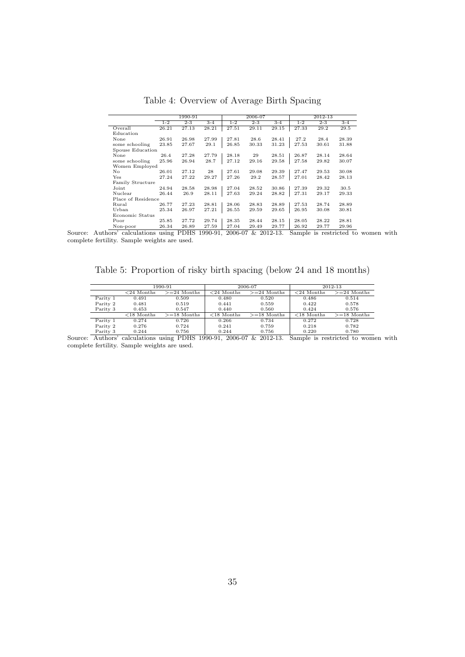<span id="page-34-0"></span>

|                    | 1990-91 |         |         |         | 2006-07 |         | 2012-13 |         |         |
|--------------------|---------|---------|---------|---------|---------|---------|---------|---------|---------|
|                    | $1 - 2$ | $2 - 3$ | $3 - 4$ | $1 - 2$ | $2 - 3$ | $3 - 4$ | $1 - 2$ | $2 - 3$ | $3 - 4$ |
| Overall            | 26.21   | 27.13   | 28.21   | 27.51   | 29.11   | 29.15   | 27.33   | 29.2    | 29.5    |
| Education          |         |         |         |         |         |         |         |         |         |
| None               | 26.91   | 26.98   | 27.99   | 27.81   | 28.6    | 28.41   | 27.2    | 28.4    | 28.39   |
| some schooling     | 23.85   | 27.67   | 29.1    | 26.85   | 30.33   | 31.23   | 27.53   | 30.61   | 31.88   |
| Spouse Education   |         |         |         |         |         |         |         |         |         |
| None               | 26.4    | 27.28   | 27.79   | 28.18   | 29      | 28.51   | 26.87   | 28.14   | 28.64   |
| some schooling     | 25.96   | 26.94   | 28.7    | 27.12   | 29.16   | 29.58   | 27.58   | 29.82   | 30.07   |
| Women Employed     |         |         |         |         |         |         |         |         |         |
| No                 | 26.01   | 27.12   | 28      | 27.61   | 29.08   | 29.39   | 27.47   | 29.53   | 30.08   |
| Yes                | 27.24   | 27.22   | 29.27   | 27.26   | 29.2    | 28.57   | 27.01   | 28.42   | 28.13   |
| Family Structure   |         |         |         |         |         |         |         |         |         |
| Joint              | 24.94   | 28.58   | 28.98   | 27.04   | 28.52   | 30.86   | 27.39   | 29.32   | 30.5    |
| Nuclear            | 26.44   | 26.9    | 28.11   | 27.63   | 29.24   | 28.82   | 27.31   | 29.17   | 29.33   |
| Place of Residence |         |         |         |         |         |         |         |         |         |
| Rural              | 26.77   | 27.23   | 28.81   | 28.06   | 28.83   | 28.89   | 27.53   | 28.74   | 28.89   |
| Urban              | 25.34   | 26.97   | 27.21   | 26.55   | 29.59   | 29.65   | 26.95   | 30.08   | 30.81   |
| Economic Status    |         |         |         |         |         |         |         |         |         |
| Poor               | 25.85   | 27.72   | 29.74   | 28.35   | 28.44   | 28.15   | 28.05   | 28.22   | 28.81   |
| Non-poor           | 26.34   | 26.89   | 27.59   | 27.04   | 29.49   | 29.77   | 26.92   | 29.77   | 29.96   |

Table 4: Overview of Average Birth Spacing

Non-poor 26.34 26.89 27.59 27.04 29.49 29.77 26.92 29.77 29.96 Source: Authors' calculations using PDHS 1990-91, 2006-07 & 2012-13. Sample is restricted to women with complete fertility. Sample weights are used.

<span id="page-34-1"></span>Table 5: Proportion of risky birth spacing (below 24 and 18 months)

|          |               | 1990-91       |               | 2006-07       | 2012-13       |               |  |
|----------|---------------|---------------|---------------|---------------|---------------|---------------|--|
|          | $<$ 24 Months | $>=24$ Months | $<$ 24 Months | $>=24$ Months | $<$ 24 Months | $>=24$ Months |  |
| Parity 1 | 0.491         | 0.509         | 0.480         | 0.520         | 0.486         | 0.514         |  |
| Parity 2 | 0.481         | 0.519         | 0.441         | 0.559         | 0.422         | 0.578         |  |
| Parity 3 | 0.453         | 0.547         | 0.440         | 0.560         | 0.424         | 0.576         |  |
|          | $<$ 18 Months | $>=18$ Months | $<$ 18 Months | $>=18$ Months | $<$ 18 Months | $>=18$ Months |  |
| Parity 1 | 0.274         | 0.726         | 0.266         | 0.734         | 0.272         | 0.728         |  |
| Parity 2 | 0.276         | 0.724         | 0.241         | 0.759         | 0.218         | 0.782         |  |
| Parity 3 | 0.244         | 0.756         | 0.244         | 0.756         | 0.220         | 0.780         |  |

Parity 3 0.244 0.756 0.244 0.244 0.756 0.220 0.780<br>Source: Authors' calculations using PDHS 1990-91, 2006-07 & 2012-13. Sample is restricted to women with complete fertility. Sample weights are used.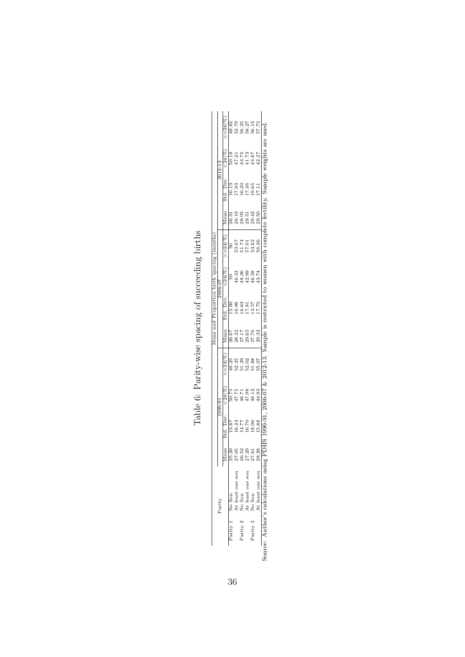<span id="page-35-0"></span>

| 19.65<br>17.11<br>29.42<br>29.50<br>53.62<br>56.26<br>46.38<br>13.74<br>13.57<br>7.70<br>27.76<br>29.32<br>51.88<br>55.07<br>48.12<br>44.93<br>18.96<br>.5.88<br>27.61<br>At least one son<br>Parity 3 No Son |
|---------------------------------------------------------------------------------------------------------------------------------------------------------------------------------------------------------------|
| sample <sub>IS</sub><br>012-13.<br>$-0.06 - 07$ &<br>9000<br>ource: Author's calculations using                                                                                                               |

Table 6: Parity-wise spacing of succeeding births Table 6: Parity-wise spacing of succeeding births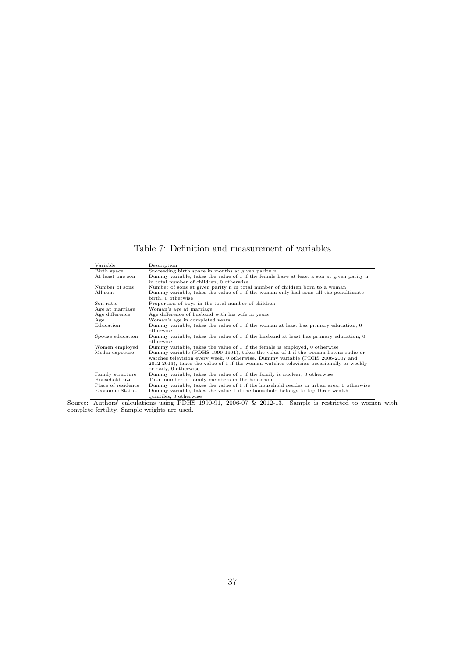Table 7: Definition and measurement of variables

<span id="page-36-0"></span>

| Variable           | Description                                                                               |
|--------------------|-------------------------------------------------------------------------------------------|
| Birth space        | Succeeding birth space in months at given parity n                                        |
| At least one son   | Dummy variable, takes the value of 1 if the female have at least a son at given parity n  |
|                    | in total number of children, 0 otherwise                                                  |
| Number of sons     | Number of sons at given parity n in total number of children born to a woman              |
| All sons           | Dummy variable, takes the value of 1 if the woman only had sons till the penultimate      |
|                    | birth, 0 otherwise                                                                        |
| Son ratio          | Proportion of boys in the total number of children                                        |
| Age at marriage    | Woman's age at marriage                                                                   |
| Age difference     | Age difference of husband with his wife in years                                          |
| Age                | Woman's age in completed years                                                            |
| Education          | Dummy variable, takes the value of 1 if the woman at least has primary education, 0       |
|                    | otherwise                                                                                 |
| Spouse education   | Dummy variable, takes the value of 1 if the husband at least has primary education, 0     |
|                    | otherwise                                                                                 |
| Women employed     | Dummy variable, takes the value of 1 if the female is employed, 0 otherwise               |
| Media exposure     | Dummy variable (PDHS 1990-1991), takes the value of 1 if the woman listens radio or       |
|                    | watches television every week, 0 otherwise. Dummy variable (PDHS 2006-2007 and            |
|                    | $2012-2013$ , takes the value of 1 if the woman watches television occasionally or weekly |
|                    | or daily, 0 otherwise                                                                     |
| Family structure   | Dummy variable, takes the value of 1 if the family is nuclear, 0 otherwise                |
| Household size     | Total number of family members in the household                                           |
| Place of residence | Dummy variable, takes the value of 1 if the household resides in urban area, 0 otherwise  |
| Economic Status    | Dummy variable, takes the value 1 if the household belongs to top three wealth            |
|                    | quintiles. 0 otherwise                                                                    |

quintiles, 0 otherwise<br>Source: Authors' calculations using PDHS 1990-91, 2006-07 & 2012-13. Sample is restricted to women with complete fertility. Sample weights are used.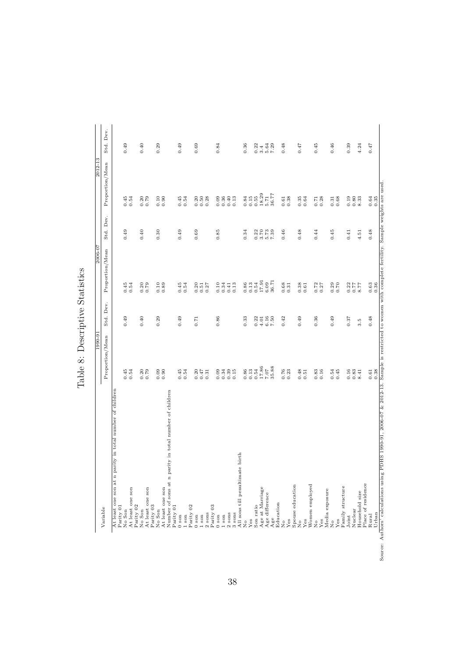<span id="page-37-0"></span>

| 0.49<br>0.85<br>0.45<br>0.40<br>0.30<br>0.49<br>0.69<br>$0.773$<br>$0.773$<br>$0.773$<br>$0.73$<br>0.46<br>0.48<br>0.44<br>0.34<br>Proportion/Mean<br>$17.91\,$<br>36.71<br>0.13<br>0.54<br>6.09<br>0.86<br>0.45<br>$0.20$<br>$0.79$<br>$0.10$<br>$0.89$<br>0.45<br>$0.20$<br>$0.51$<br>$0.10$<br>$0.34$<br>$0.41$<br>$0.13$<br>$0.68$<br>$0.31$<br>$0.38$<br>$0.61$<br>0.72<br>0.70<br>0.54<br>0.54<br>0.27<br>0.27<br>Dev.<br>Std.<br>0.49<br>0.40<br>0.29<br>0.49<br>0.86<br>6.16<br>0.42<br>0.49<br>0.36<br>0.49<br>0.33<br>0.22<br>7.50<br>0.71<br>$4.01$<br>Proportion/Mean<br>17.86<br>35.88<br>0.13<br>0.54<br>7.07<br>0.54<br>0.54<br>0.45<br>$0.39$<br>$0.15$<br>0.86<br>0.76<br>0.51<br>0.16<br>$0.54$<br>$0.45$<br>$0.20$<br>$0.79$<br>0.09<br>0.54<br>$0.20$<br>$0.47$<br>0.31<br>$0.09$<br>$0.34$<br>0.83<br>At least one son at n parity in total number of children<br>Number of sons at n parity in total number of children<br>All sons till penultimate birth<br>Spouse education<br>Women employed<br>Age at Marriage<br>At least one son<br>At least one son<br>At least one son<br>Media exposure<br>Age difference<br>Education<br>Parity 03<br>Parity 01<br>Parity 02<br>Parity 02<br>Parity 03<br>Son ratio<br>Parity 01<br>Variable<br>No Son<br>No Son<br>No Son<br>$2$ sons<br>3 sons<br>$2$ sons<br>$0$ son<br>$1 \text{ son}$<br>$1$ son<br>$0$ son<br>$0$ son<br>$1$ son<br>Age<br>Yes<br>Yes<br>Yes<br>Yes<br>Yes<br>ż<br>$\frac{1}{2}$<br>$\frac{1}{2}$<br>$\frac{1}{2}$<br>$\frac{1}{2}$ | 0.28<br>0.36<br>$0.40$<br>0.13<br>0.54<br>0.45<br>0.54<br>0.50<br>0.79<br>0.10<br>Std. Dev | Std.<br>0.49<br>0.40<br>0.29<br>0.49<br>0.69<br>0.84<br>0.36<br>0.22<br>3.4<br>Proportion/Mean |
|----------------------------------------------------------------------------------------------------------------------------------------------------------------------------------------------------------------------------------------------------------------------------------------------------------------------------------------------------------------------------------------------------------------------------------------------------------------------------------------------------------------------------------------------------------------------------------------------------------------------------------------------------------------------------------------------------------------------------------------------------------------------------------------------------------------------------------------------------------------------------------------------------------------------------------------------------------------------------------------------------------------------------------------------------------------------------------------------------------------------------------------------------------------------------------------------------------------------------------------------------------------------------------------------------------------------------------------------------------------------------------------------------------------------------------------------------------------------------------------------------------------------------|--------------------------------------------------------------------------------------------|------------------------------------------------------------------------------------------------|
|                                                                                                                                                                                                                                                                                                                                                                                                                                                                                                                                                                                                                                                                                                                                                                                                                                                                                                                                                                                                                                                                                                                                                                                                                                                                                                                                                                                                                                                                                                                            |                                                                                            |                                                                                                |
|                                                                                                                                                                                                                                                                                                                                                                                                                                                                                                                                                                                                                                                                                                                                                                                                                                                                                                                                                                                                                                                                                                                                                                                                                                                                                                                                                                                                                                                                                                                            |                                                                                            |                                                                                                |
|                                                                                                                                                                                                                                                                                                                                                                                                                                                                                                                                                                                                                                                                                                                                                                                                                                                                                                                                                                                                                                                                                                                                                                                                                                                                                                                                                                                                                                                                                                                            |                                                                                            |                                                                                                |
|                                                                                                                                                                                                                                                                                                                                                                                                                                                                                                                                                                                                                                                                                                                                                                                                                                                                                                                                                                                                                                                                                                                                                                                                                                                                                                                                                                                                                                                                                                                            |                                                                                            |                                                                                                |
|                                                                                                                                                                                                                                                                                                                                                                                                                                                                                                                                                                                                                                                                                                                                                                                                                                                                                                                                                                                                                                                                                                                                                                                                                                                                                                                                                                                                                                                                                                                            |                                                                                            |                                                                                                |
|                                                                                                                                                                                                                                                                                                                                                                                                                                                                                                                                                                                                                                                                                                                                                                                                                                                                                                                                                                                                                                                                                                                                                                                                                                                                                                                                                                                                                                                                                                                            |                                                                                            |                                                                                                |
|                                                                                                                                                                                                                                                                                                                                                                                                                                                                                                                                                                                                                                                                                                                                                                                                                                                                                                                                                                                                                                                                                                                                                                                                                                                                                                                                                                                                                                                                                                                            |                                                                                            |                                                                                                |
|                                                                                                                                                                                                                                                                                                                                                                                                                                                                                                                                                                                                                                                                                                                                                                                                                                                                                                                                                                                                                                                                                                                                                                                                                                                                                                                                                                                                                                                                                                                            |                                                                                            |                                                                                                |
|                                                                                                                                                                                                                                                                                                                                                                                                                                                                                                                                                                                                                                                                                                                                                                                                                                                                                                                                                                                                                                                                                                                                                                                                                                                                                                                                                                                                                                                                                                                            |                                                                                            |                                                                                                |
|                                                                                                                                                                                                                                                                                                                                                                                                                                                                                                                                                                                                                                                                                                                                                                                                                                                                                                                                                                                                                                                                                                                                                                                                                                                                                                                                                                                                                                                                                                                            |                                                                                            |                                                                                                |
|                                                                                                                                                                                                                                                                                                                                                                                                                                                                                                                                                                                                                                                                                                                                                                                                                                                                                                                                                                                                                                                                                                                                                                                                                                                                                                                                                                                                                                                                                                                            |                                                                                            |                                                                                                |
|                                                                                                                                                                                                                                                                                                                                                                                                                                                                                                                                                                                                                                                                                                                                                                                                                                                                                                                                                                                                                                                                                                                                                                                                                                                                                                                                                                                                                                                                                                                            |                                                                                            |                                                                                                |
|                                                                                                                                                                                                                                                                                                                                                                                                                                                                                                                                                                                                                                                                                                                                                                                                                                                                                                                                                                                                                                                                                                                                                                                                                                                                                                                                                                                                                                                                                                                            |                                                                                            |                                                                                                |
|                                                                                                                                                                                                                                                                                                                                                                                                                                                                                                                                                                                                                                                                                                                                                                                                                                                                                                                                                                                                                                                                                                                                                                                                                                                                                                                                                                                                                                                                                                                            |                                                                                            |                                                                                                |
|                                                                                                                                                                                                                                                                                                                                                                                                                                                                                                                                                                                                                                                                                                                                                                                                                                                                                                                                                                                                                                                                                                                                                                                                                                                                                                                                                                                                                                                                                                                            |                                                                                            |                                                                                                |
|                                                                                                                                                                                                                                                                                                                                                                                                                                                                                                                                                                                                                                                                                                                                                                                                                                                                                                                                                                                                                                                                                                                                                                                                                                                                                                                                                                                                                                                                                                                            |                                                                                            |                                                                                                |
|                                                                                                                                                                                                                                                                                                                                                                                                                                                                                                                                                                                                                                                                                                                                                                                                                                                                                                                                                                                                                                                                                                                                                                                                                                                                                                                                                                                                                                                                                                                            |                                                                                            |                                                                                                |
|                                                                                                                                                                                                                                                                                                                                                                                                                                                                                                                                                                                                                                                                                                                                                                                                                                                                                                                                                                                                                                                                                                                                                                                                                                                                                                                                                                                                                                                                                                                            |                                                                                            |                                                                                                |
|                                                                                                                                                                                                                                                                                                                                                                                                                                                                                                                                                                                                                                                                                                                                                                                                                                                                                                                                                                                                                                                                                                                                                                                                                                                                                                                                                                                                                                                                                                                            |                                                                                            |                                                                                                |
|                                                                                                                                                                                                                                                                                                                                                                                                                                                                                                                                                                                                                                                                                                                                                                                                                                                                                                                                                                                                                                                                                                                                                                                                                                                                                                                                                                                                                                                                                                                            |                                                                                            |                                                                                                |
|                                                                                                                                                                                                                                                                                                                                                                                                                                                                                                                                                                                                                                                                                                                                                                                                                                                                                                                                                                                                                                                                                                                                                                                                                                                                                                                                                                                                                                                                                                                            |                                                                                            |                                                                                                |
|                                                                                                                                                                                                                                                                                                                                                                                                                                                                                                                                                                                                                                                                                                                                                                                                                                                                                                                                                                                                                                                                                                                                                                                                                                                                                                                                                                                                                                                                                                                            |                                                                                            |                                                                                                |
|                                                                                                                                                                                                                                                                                                                                                                                                                                                                                                                                                                                                                                                                                                                                                                                                                                                                                                                                                                                                                                                                                                                                                                                                                                                                                                                                                                                                                                                                                                                            |                                                                                            |                                                                                                |
|                                                                                                                                                                                                                                                                                                                                                                                                                                                                                                                                                                                                                                                                                                                                                                                                                                                                                                                                                                                                                                                                                                                                                                                                                                                                                                                                                                                                                                                                                                                            |                                                                                            |                                                                                                |
|                                                                                                                                                                                                                                                                                                                                                                                                                                                                                                                                                                                                                                                                                                                                                                                                                                                                                                                                                                                                                                                                                                                                                                                                                                                                                                                                                                                                                                                                                                                            | 0.84                                                                                       |                                                                                                |
|                                                                                                                                                                                                                                                                                                                                                                                                                                                                                                                                                                                                                                                                                                                                                                                                                                                                                                                                                                                                                                                                                                                                                                                                                                                                                                                                                                                                                                                                                                                            | 0.15                                                                                       |                                                                                                |
|                                                                                                                                                                                                                                                                                                                                                                                                                                                                                                                                                                                                                                                                                                                                                                                                                                                                                                                                                                                                                                                                                                                                                                                                                                                                                                                                                                                                                                                                                                                            | 0.55                                                                                       |                                                                                                |
|                                                                                                                                                                                                                                                                                                                                                                                                                                                                                                                                                                                                                                                                                                                                                                                                                                                                                                                                                                                                                                                                                                                                                                                                                                                                                                                                                                                                                                                                                                                            | 18.29                                                                                      |                                                                                                |
|                                                                                                                                                                                                                                                                                                                                                                                                                                                                                                                                                                                                                                                                                                                                                                                                                                                                                                                                                                                                                                                                                                                                                                                                                                                                                                                                                                                                                                                                                                                            | 5.71                                                                                       |                                                                                                |
|                                                                                                                                                                                                                                                                                                                                                                                                                                                                                                                                                                                                                                                                                                                                                                                                                                                                                                                                                                                                                                                                                                                                                                                                                                                                                                                                                                                                                                                                                                                            | 36.77                                                                                      | $\frac{5.64}{7.29}$                                                                            |
|                                                                                                                                                                                                                                                                                                                                                                                                                                                                                                                                                                                                                                                                                                                                                                                                                                                                                                                                                                                                                                                                                                                                                                                                                                                                                                                                                                                                                                                                                                                            |                                                                                            |                                                                                                |
|                                                                                                                                                                                                                                                                                                                                                                                                                                                                                                                                                                                                                                                                                                                                                                                                                                                                                                                                                                                                                                                                                                                                                                                                                                                                                                                                                                                                                                                                                                                            |                                                                                            | 0.48                                                                                           |
|                                                                                                                                                                                                                                                                                                                                                                                                                                                                                                                                                                                                                                                                                                                                                                                                                                                                                                                                                                                                                                                                                                                                                                                                                                                                                                                                                                                                                                                                                                                            | $\begin{array}{c} 0.61 \\ 0.38 \end{array}$                                                |                                                                                                |
|                                                                                                                                                                                                                                                                                                                                                                                                                                                                                                                                                                                                                                                                                                                                                                                                                                                                                                                                                                                                                                                                                                                                                                                                                                                                                                                                                                                                                                                                                                                            |                                                                                            |                                                                                                |
|                                                                                                                                                                                                                                                                                                                                                                                                                                                                                                                                                                                                                                                                                                                                                                                                                                                                                                                                                                                                                                                                                                                                                                                                                                                                                                                                                                                                                                                                                                                            |                                                                                            | 0.47                                                                                           |
|                                                                                                                                                                                                                                                                                                                                                                                                                                                                                                                                                                                                                                                                                                                                                                                                                                                                                                                                                                                                                                                                                                                                                                                                                                                                                                                                                                                                                                                                                                                            | $0.35$<br>$0.64$                                                                           |                                                                                                |
|                                                                                                                                                                                                                                                                                                                                                                                                                                                                                                                                                                                                                                                                                                                                                                                                                                                                                                                                                                                                                                                                                                                                                                                                                                                                                                                                                                                                                                                                                                                            |                                                                                            |                                                                                                |
|                                                                                                                                                                                                                                                                                                                                                                                                                                                                                                                                                                                                                                                                                                                                                                                                                                                                                                                                                                                                                                                                                                                                                                                                                                                                                                                                                                                                                                                                                                                            | $0.71\,$                                                                                   | 0.45                                                                                           |
|                                                                                                                                                                                                                                                                                                                                                                                                                                                                                                                                                                                                                                                                                                                                                                                                                                                                                                                                                                                                                                                                                                                                                                                                                                                                                                                                                                                                                                                                                                                            | 0.28                                                                                       |                                                                                                |
|                                                                                                                                                                                                                                                                                                                                                                                                                                                                                                                                                                                                                                                                                                                                                                                                                                                                                                                                                                                                                                                                                                                                                                                                                                                                                                                                                                                                                                                                                                                            |                                                                                            |                                                                                                |
|                                                                                                                                                                                                                                                                                                                                                                                                                                                                                                                                                                                                                                                                                                                                                                                                                                                                                                                                                                                                                                                                                                                                                                                                                                                                                                                                                                                                                                                                                                                            |                                                                                            |                                                                                                |
|                                                                                                                                                                                                                                                                                                                                                                                                                                                                                                                                                                                                                                                                                                                                                                                                                                                                                                                                                                                                                                                                                                                                                                                                                                                                                                                                                                                                                                                                                                                            | $0.31$<br>$0.68$                                                                           | 0.46                                                                                           |
|                                                                                                                                                                                                                                                                                                                                                                                                                                                                                                                                                                                                                                                                                                                                                                                                                                                                                                                                                                                                                                                                                                                                                                                                                                                                                                                                                                                                                                                                                                                            |                                                                                            |                                                                                                |
| Family structure                                                                                                                                                                                                                                                                                                                                                                                                                                                                                                                                                                                                                                                                                                                                                                                                                                                                                                                                                                                                                                                                                                                                                                                                                                                                                                                                                                                                                                                                                                           |                                                                                            |                                                                                                |
| 0.41<br>0.22<br>0.37<br>0.16<br>Joint                                                                                                                                                                                                                                                                                                                                                                                                                                                                                                                                                                                                                                                                                                                                                                                                                                                                                                                                                                                                                                                                                                                                                                                                                                                                                                                                                                                                                                                                                      | 0.19                                                                                       | 0.39                                                                                           |
| Nuclear                                                                                                                                                                                                                                                                                                                                                                                                                                                                                                                                                                                                                                                                                                                                                                                                                                                                                                                                                                                                                                                                                                                                                                                                                                                                                                                                                                                                                                                                                                                    |                                                                                            |                                                                                                |
| 4.51<br>$\frac{277}{577}$<br>$3.\overline{5}$<br>$0.83$<br>8.41<br>Household size                                                                                                                                                                                                                                                                                                                                                                                                                                                                                                                                                                                                                                                                                                                                                                                                                                                                                                                                                                                                                                                                                                                                                                                                                                                                                                                                                                                                                                          | $0.80$<br>8.33                                                                             | 4.24                                                                                           |
| Place of residence                                                                                                                                                                                                                                                                                                                                                                                                                                                                                                                                                                                                                                                                                                                                                                                                                                                                                                                                                                                                                                                                                                                                                                                                                                                                                                                                                                                                                                                                                                         |                                                                                            |                                                                                                |
| 0.48<br>0.63<br>0.48<br>$_{0.61}$<br>Rural                                                                                                                                                                                                                                                                                                                                                                                                                                                                                                                                                                                                                                                                                                                                                                                                                                                                                                                                                                                                                                                                                                                                                                                                                                                                                                                                                                                                                                                                                 | 0.64                                                                                       | 0.47                                                                                           |
| 0.36<br>0.38<br>Urban                                                                                                                                                                                                                                                                                                                                                                                                                                                                                                                                                                                                                                                                                                                                                                                                                                                                                                                                                                                                                                                                                                                                                                                                                                                                                                                                                                                                                                                                                                      | 0.35                                                                                       |                                                                                                |

Table 8: Descriptive Statistics Table 8: Descriptive Statistics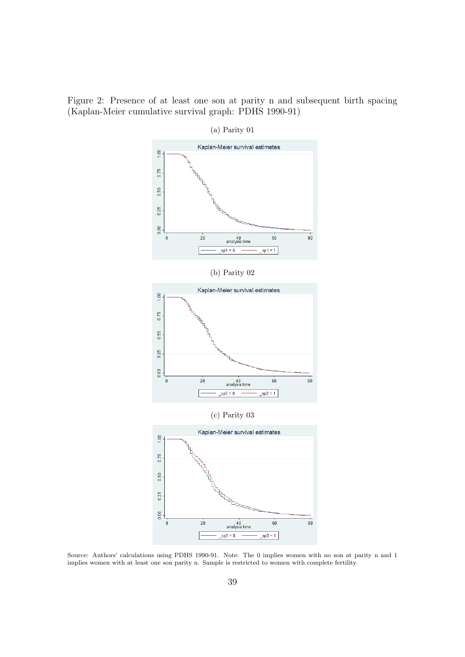<span id="page-38-0"></span>Figure 2: Presence of at least one son at parity n and subsequent birth spacing (Kaplan-Meier cumulative survival graph: PDHS 1990-91)



Source: Authors' calculations using PDHS 1990-91. Note: The 0 implies women with no son at parity n and 1 implies women with at least one son parity n. Sample is restricted to women with complete fertility.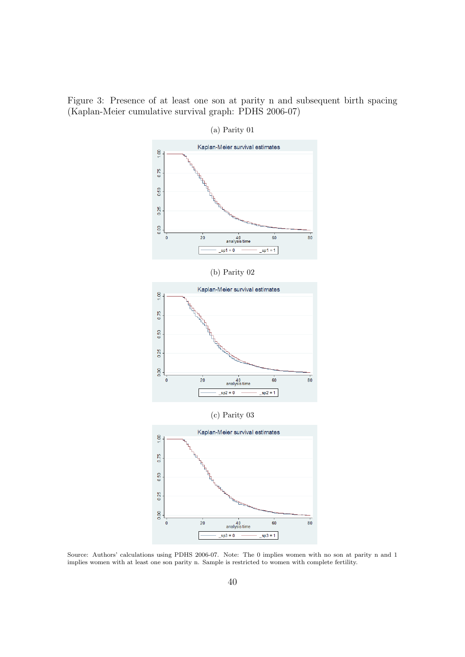Figure 3: Presence of at least one son at parity n and subsequent birth spacing (Kaplan-Meier cumulative survival graph: PDHS 2006-07)



(a) Parity 01

Source: Authors' calculations using PDHS 2006-07. Note: The 0 implies women with no son at parity n and 1 implies women with at least one son parity n. Sample is restricted to women with complete fertility.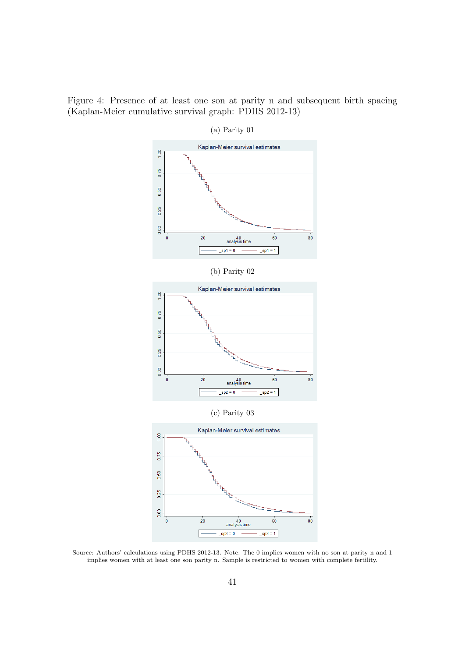<span id="page-40-0"></span>Figure 4: Presence of at least one son at parity n and subsequent birth spacing (Kaplan-Meier cumulative survival graph: PDHS 2012-13)



Source: Authors' calculations using PDHS 2012-13. Note: The 0 implies women with no son at parity n and 1 implies women with at least one son parity n. Sample is restricted to women with complete fertility.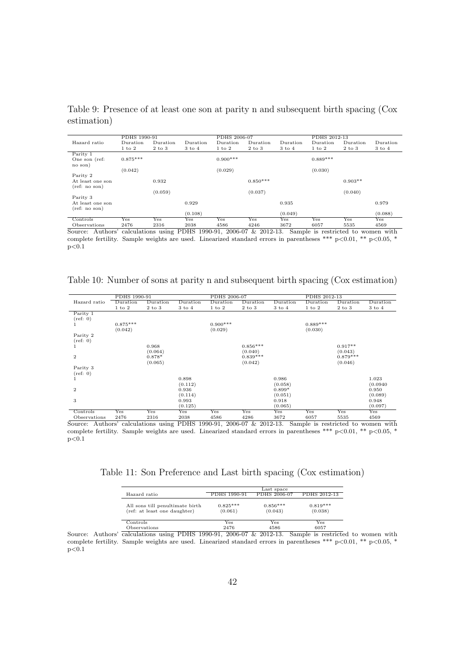|                                   | PDHS 1990-91 |            |            | PDHS 2006-07 |                                                              |                   | PDHS 2012-13                       |            |          |
|-----------------------------------|--------------|------------|------------|--------------|--------------------------------------------------------------|-------------------|------------------------------------|------------|----------|
| Hazard ratio                      | Duration     | Duration   | Duration   | Duration     | Duration                                                     | Duration          | Duration                           | Duration   | Duration |
|                                   | $1$ to $2$   | $2$ to $3$ | $3$ to $4$ | $1$ to $2$   | $2$ to $3$                                                   | $3 \text{ to } 4$ | $1$ to $2$                         | $2$ to $3$ | 3 to 4   |
| Parity 1                          |              |            |            |              |                                                              |                   |                                    |            |          |
| One son (ref:<br>no son)          | $0.875***$   |            |            | $0.900***$   |                                                              |                   | $0.889***$                         |            |          |
|                                   | (0.042)      |            |            | (0.029)      |                                                              |                   | (0.030)                            |            |          |
| Parity 2                          |              |            |            |              |                                                              |                   |                                    |            |          |
| At least one son<br>(ref: no son) |              | 0.932      |            |              | $0.850***$                                                   |                   |                                    | $0.903**$  |          |
|                                   |              | (0.059)    |            |              | (0.037)                                                      |                   |                                    | (0.040)    |          |
| Parity 3                          |              |            |            |              |                                                              |                   |                                    |            |          |
| At least one son<br>(ref: no son) |              |            | 0.929      |              |                                                              | 0.935             |                                    |            | 0.979    |
|                                   |              |            | (0.108)    |              |                                                              | (0.049)           |                                    |            | (0.088)  |
| Controls                          | Yes          | Yes        | Yes        | Yes          | Yes                                                          | $_{\rm Yes}$      | Yes                                | Yes        | Yes      |
| Observations                      | 2476         | 2316       | 2038       | 4586         | 4246                                                         | 3672              | 6057                               | 5535       | 4569     |
| Source:                           |              |            |            |              | Authors' calculations using PDHS 1990-91, 2006-07 & 2012-13. |                   | Sample is restricted to women with |            |          |

<span id="page-41-0"></span>Table 9: Presence of at least one son at parity n and subsequent birth spacing (Cox estimation)

complete fertility. Sample weights are used. Linearized standard errors in parentheses \*\*\* p<0.01, \*\* p<0.05, \*  $p<0.1$ 

|                | PDHS 1990-91 |            |                   | PDHS 2006-07 |            |            | PDHS 2012-13 |            |            |
|----------------|--------------|------------|-------------------|--------------|------------|------------|--------------|------------|------------|
| Hazard ratio   | Duration     | Duration   | Duration          | Duration     | Duration   | Duration   | Duration     | Duration   | Duration   |
|                | $1$ to $2$   | $2$ to $3$ | $3 \text{ to } 4$ | $1$ to $2$   | $2$ to $3$ | $3$ to $4$ | $1$ to $2$   | $2$ to $3$ | $3$ to $4$ |
| Parity 1       |              |            |                   |              |            |            |              |            |            |
| (ref: 0)       |              |            |                   |              |            |            |              |            |            |
|                | $0.875***$   |            |                   | $0.900***$   |            |            | $0.889***$   |            |            |
|                | (0.042)      |            |                   | (0.029)      |            |            | (0.030)      |            |            |
| Parity 2       |              |            |                   |              |            |            |              |            |            |
| (ref: 0)       |              |            |                   |              |            |            |              |            |            |
|                |              | 0.968      |                   |              | $0.856***$ |            |              | $0.917**$  |            |
|                |              | (0.064)    |                   |              | (0.040)    |            |              | (0.043)    |            |
| $\overline{2}$ |              | $0.878*$   |                   |              | $0.839***$ |            |              | $0.879***$ |            |
|                |              | (0.065)    |                   |              | (0.042)    |            |              | (0.046)    |            |
| Parity 3       |              |            |                   |              |            |            |              |            |            |
| (ref: 0)       |              |            |                   |              |            |            |              |            |            |
|                |              |            | 0.898             |              |            | 0.986      |              |            | 1.023      |
|                |              |            | (0.112)           |              |            | (0.058)    |              |            | (0.0940)   |
| $\overline{2}$ |              |            | 0.936             |              |            | $0.899*$   |              |            | 0.950      |
|                |              |            | (0.114)           |              |            | (0.051)    |              |            | (0.089)    |
| 3              |              |            | 0.993             |              |            | 0.918      |              |            | 0.948      |
|                |              |            | (0.125)           |              |            | (0.065)    |              |            | (0.097)    |
| Controls       | Yes          | Yes        | Yes               | Yes          | Yes        | Yes        | Yes          | Yes        | Yes        |
| Observations   | 2476         | 2316       | 2038              | 4586         | 4286       | 3672       | 6057         | 5535       | 4569       |

<span id="page-41-1"></span>Table 10: Number of sons at parity n and subsequent birth spacing (Cox estimation)

Observations 2476 2316 2038 4586 4286 3672 6057 5535 4569 Source: Authors' calculations using PDHS 1990-91, 2006-07 & 2012-13. Sample is restricted to women with complete fertility. Sample weights are used. Linearized standard errors in parentheses \*\*\* p<0.01, \*\* p<0.05, \*  $p<0.1$ 

<span id="page-41-2"></span>Table 11: Son Preference and Last birth spacing (Cox estimation)

|                                                                 |                       | Last space            |                       |
|-----------------------------------------------------------------|-----------------------|-----------------------|-----------------------|
| Hazard ratio                                                    | PDHS 1990-91          | PDHS 2006-07          | PDHS 2012-13          |
| All sons till penultimate birth<br>(ref: at least one daughter) | $0.825***$<br>(0.061) | $0.856***$<br>(0.043) | $0.819***$<br>(0.038) |
| Controls                                                        | Yes                   | Yes                   | $_{\rm Yes}$          |
| Observations                                                    | 2476                  | 4586                  | 6057                  |

Source: Authors' calculations using PDHS 1990-91, 2006-07 & 2012-13. Sample is restricted to women with complete fertility. Sample weights are used. Linearized standard errors in parentheses \*\*\* p<0.01, \*\* p<0.05, \*  $p<0.1$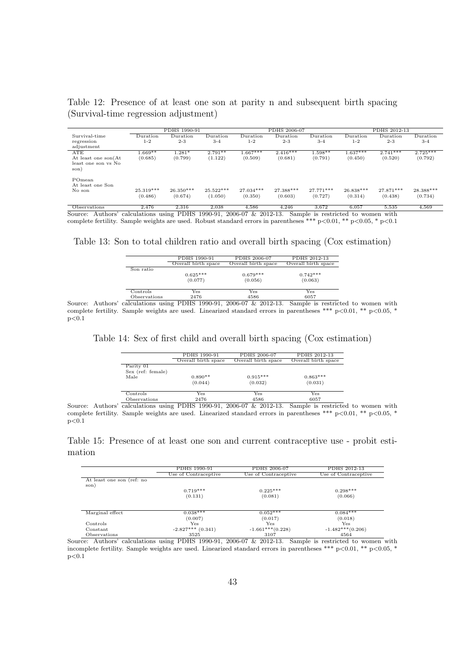<span id="page-42-0"></span>Table 12: Presence of at least one son at parity n and subsequent birth spacing (Survival-time regression adjustment)

|                                    |             | PDHS 1990-91 |             |                 | PDHS 2006-07    |           |                 | PDHS 2012-13    |            |
|------------------------------------|-------------|--------------|-------------|-----------------|-----------------|-----------|-----------------|-----------------|------------|
| Survival-time                      | Duration    | Duration     | Duration    | $\rm{Duration}$ | $\rm{Duration}$ | Duration  | $\rm{Duration}$ | $\rm{Duration}$ | Duration   |
| regression                         | $1 - 2$     | $2 - 3$      | $3 - 4$     | $1 - 2$         | $2 - 3$         | $3-4$     | $1 - 2$         | $2 - 3$         | $3 - 4$    |
| adjustment                         |             |              |             |                 |                 |           |                 |                 |            |
| ATE                                | $1.669**$   | $1.281*$     | $2.791**$   | $1.667***$      | $2.416***$      | $1.598**$ | $1.637***$      | $2.741***$      | $2.725***$ |
| At least one son(At                | (0.685)     | (0.799)      | (1.122)     | (0.509)         | (0.681)         | (0.791)   | (0.450)         | (0.520)         | (0.792)    |
| least one son vs No<br>son)        |             |              |             |                 |                 |           |                 |                 |            |
| POmean                             |             |              |             |                 |                 |           |                 |                 |            |
| At least one Son                   |             |              |             |                 |                 |           |                 |                 |            |
| No son                             | $25.319***$ | $26.350***$  | $25.522***$ | $27.034***$     | 27.388***       | 27.771*** | $26.838***$     | 27.871***       | 28.388***  |
|                                    | (0.486)     | (0.674)      | (1.050)     | (0.350)         | (0.603)         | (0.727)   | (0.314)         | (0.438)         | (0.734)    |
| $O$ because $\mathcal{L}$ is a set | 0.47c       | 0.91c        | 0.098       | A EOC           | $A \Omega$      | 2.672     | $C$ $\cap E$    | E EOE           | ECO        |

Observations 2,476 2,316 2,038 4,586 4,246 3,672 6,057 5,535 4,569 Source: Authors' calculations using PDHS 1990-91, 2006-07 & 2012-13. Sample is restricted to women with complete fertility. Sample weights are used. Robust standard errors in parentheses \*\*\*  $p<0.01$ , \*\*  $p<0.05$ , \*  $p<0.1$ 

<span id="page-42-1"></span>Table 13: Son to total children ratio and overall birth spacing (Cox estimation)

|                         | PDHS 1990-91        | PDHS 2006-07        | PDHS 2012-13        |
|-------------------------|---------------------|---------------------|---------------------|
|                         | Overall birth space | Overall birth space | Overall birth space |
| Son ratio               |                     |                     |                     |
|                         | $0.625***$          | $0.679***$          | $0.742***$          |
|                         | (0.077)             | (0.056)             | (0.063)             |
| Controls                | Yes                 | Yes                 | $_{\rm Yes}$        |
| Observations            | 2476                | 4586                | 6057                |
| colculations using PDHS | 1000 01             | 2006 07 L 2012 12   | Sample is rostric   |

Source: Authors' calculations using PDHS 1990-91, 2006-07 & 2012-13. Sample is restricted to women with complete fertility. Sample weights are used. Linearized standard errors in parentheses \*\*\* p<0.01, \*\* p<0.05, \*  $p < 0.1$ 

<span id="page-42-2"></span>Table 14: Sex of first child and overall birth spacing (Cox estimation)

|                   | PDHS 1990-91        | PDHS 2006-07        | PDHS 2012-13        |
|-------------------|---------------------|---------------------|---------------------|
|                   | Overall birth space | Overall birth space | Overall birth space |
| Parity 01         |                     |                     |                     |
| Sex (ref: female) |                     |                     |                     |
| Male              | $0.890**$           | $0.915***$          | $0.863***$          |
|                   | (0.044)             | (0.032)             | (0.031)             |
| Controls          | Yes                 | Yes                 | Yes                 |
| Observations      | 2476                | 4586                | 6057                |

 $\frac{\text{Observations}}{\text{Calculations}} \frac{2476}{\text{subpositions}} \frac{4586}{1990-91, 2006-07} \frac{4586}{\text{L}} \frac{6057}{\text{Sample is restricted to women with}}$ complete fertility. Sample weights are used. Linearized standard errors in parentheses \*\*\* p<0.01, \*\* p<0.05, \*  $p<0.1$ 

<span id="page-42-3"></span>Table 15: Presence of at least one son and current contraceptive use - probit estimation

|                           | PDHS 1990-91         | PDHS 2006-07         | PDHS 2012-13         |
|---------------------------|----------------------|----------------------|----------------------|
|                           | Use of Contraceptive | Use of Contraceptive | Use of Contraceptive |
| At least one son (ref: no |                      |                      |                      |
| son)                      |                      |                      |                      |
|                           | $0.719***$           | $0.225***$           | $0.298***$           |
|                           | (0.131)              | (0.081)              | (0.066)              |
|                           |                      |                      |                      |
| Marginal effect           | $0.038***$           | $0.052***$           | $0.084***$           |
|                           | (0.007)              | (0.017)              | (0.018)              |
| Controls                  | $_{\rm Yes}$         | Yes                  | Yes                  |
| Constant                  | $-2.827***$ (0.341)  | $-1.661***(0.228)$   | $-1.482***(0.206)$   |
| Observations              | 3525                 | 3107                 | 4564                 |

Observations 3525 3107 4564 Source: Authors' calculations using PDHS 1990-91, 2006-07 & 2012-13. Sample is restricted to women with incomplete fertility. Sample weights are used. Linearized standard errors in parentheses \*\*\* p<0.01, \*\* p<0.05, \*  $p<0.1$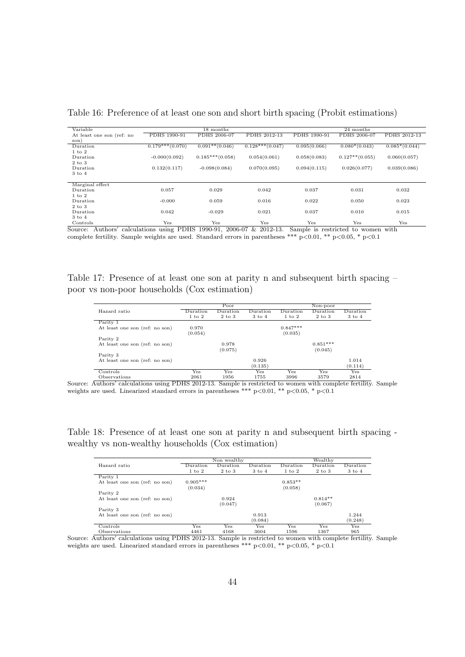| Variable                  |                   | 18 months         |                   |              | 24 months         |                 |
|---------------------------|-------------------|-------------------|-------------------|--------------|-------------------|-----------------|
| At least one son (ref: no | PDHS 1990-91      | PDHS 2006-07      | PDHS 2012-13      | PDHS 1990-91 | PDHS 2006-07      | PDHS 2012-13    |
| son)                      |                   |                   |                   |              |                   |                 |
| Duration                  | $0.179***(0.070)$ | $0.091**$ (0.046) | $0.128***(0.047)$ | 0.095(0.066) | $0.080*(0.043)$   | $0.085*(0.044)$ |
| 1 to 2                    |                   |                   |                   |              |                   |                 |
| Duration                  | $-0.000(0.092)$   | $0.185***(0.058)$ | 0.054(0.061)      | 0.058(0.083) | $0.127**$ (0.055) | 0.060(0.057)    |
| $2$ to $3$                |                   |                   |                   |              |                   |                 |
| Duration                  | 0.132(0.117)      | $-0.098(0.084)$   | 0.070(0.095)      | 0.094(0.115) | 0.026(0.077)      | 0.039(0.086)    |
| $3$ to $4$                |                   |                   |                   |              |                   |                 |
|                           |                   |                   |                   |              |                   |                 |
| Marginal effect           |                   |                   |                   |              |                   |                 |
| Duration                  | 0.057             | 0.029             | 0.042             | 0.037        | 0.031             | 0.032           |
| $1$ to $2$                |                   |                   |                   |              |                   |                 |
| Duration                  | $-0.000$          | 0.059             | 0.016             | 0.022        | 0.050             | 0.023           |
| $2$ to $3$                |                   |                   |                   |              |                   |                 |
| Duration                  | 0.042             | $-0.029$          | 0.021             | 0.037        | 0.010             | 0.015           |
| $3 \text{ to } 4$         |                   |                   |                   |              |                   |                 |
| Controls                  | Yes               | Yes               | Yes               | Yes          | Yes               | Yes             |

<span id="page-43-0"></span>Table 16: Preference of at least one son and short birth spacing (Probit estimations)

Source: Authors' calculations using PDHS 1990-91, 2006-07 & 2012-13. Sample is restricted to women with complete fertility. Sample weights are used. Standard errors in parentheses \*\*\* p<0.01, \*\* p<0.05, \* p<0.1

<span id="page-43-1"></span>Table 17: Presence of at least one son at parity n and subsequent birth spacing – poor vs non-poor households (Cox estimation)

|                                |            | Poor              |                   |                   | Non-poor   |                   |
|--------------------------------|------------|-------------------|-------------------|-------------------|------------|-------------------|
| Hazard ratio                   | Duration   | Duration          | Duration          | Duration          | Duration   | Duration          |
|                                | $1$ to $2$ | $2 \text{ to } 3$ | $3 \text{ to } 4$ | $1 \text{ to } 2$ | $2$ to $3$ | $3 \text{ to } 4$ |
| Parity 1                       |            |                   |                   |                   |            |                   |
| At least one son (ref: no son) | 0.970      |                   |                   | $0.847***$        |            |                   |
|                                | (0.054)    |                   |                   | (0.035)           |            |                   |
| Parity 2                       |            |                   |                   |                   |            |                   |
| At least one son (ref: no son) |            | 0.978             |                   |                   | $0.851***$ |                   |
|                                |            | (0.075)           |                   |                   | (0.045)    |                   |
| Parity 3                       |            |                   |                   |                   |            |                   |
| At least one son (ref: no son) |            |                   | 0.926             |                   |            | 1.014             |
|                                |            |                   | (0.135)           |                   |            | (0.114)           |
| Controls                       | Yes        | Yes               | Yes               | Yes               | <b>Yes</b> | Yes               |
| Observations                   | 2061       | 1956              | 1755              | 3996              | 3579       | 2814              |

Observations 2061 1956 1755 3996 3579 2814 Source: Authors' calculations using PDHS 2012-13. Sample is restricted to women with complete fertility. Sample weights are used. Linearized standard errors in parentheses \*\*\* p<0.01, \*\* p<0.05, \* p<0.1

<span id="page-43-2"></span>Table 18: Presence of at least one son at parity n and subsequent birth spacing wealthy vs non-wealthy households (Cox estimation)

|                                |            | Non wealthy |                   | Wealthy    |            |                   |  |
|--------------------------------|------------|-------------|-------------------|------------|------------|-------------------|--|
| Hazard ratio                   | Duration   | Duration    | Duration          | Duration   | Duration   | Duration          |  |
|                                | $1$ to $2$ | $2$ to $3$  | $3 \text{ to } 4$ | $1$ to $2$ | $2$ to $3$ | $3 \text{ to } 4$ |  |
| Parity 1                       |            |             |                   |            |            |                   |  |
| At least one son (ref: no son) | $0.905***$ |             |                   | $0.853**$  |            |                   |  |
|                                | (0.034)    |             |                   | (0.058)    |            |                   |  |
| Parity 2                       |            |             |                   |            |            |                   |  |
| At least one son (ref: no son) |            | 0.924       |                   |            | $0.814**$  |                   |  |
|                                |            | (0.047)     |                   |            | (0.067)    |                   |  |
| Parity 3                       |            |             |                   |            |            |                   |  |
| At least one son (ref: no son) |            |             | 0.913             |            |            | 1.244             |  |
|                                |            |             | (0.084)           |            |            | (0.248)           |  |
| Controls                       | Yes        | Yes         | Yes               | Yes        | Yes        | Yes               |  |
| Observations                   | 4461       | 4168        | 3604              | 1596       | 1367       | 965               |  |

Source: Authors' calculations using PDHS 2012-13. Sample is restricted to women with complete fertility. Sample weights are used. Linearized standard errors in parentheses \*\*\* p<0.01, \*\* p<0.05, \* p<0.1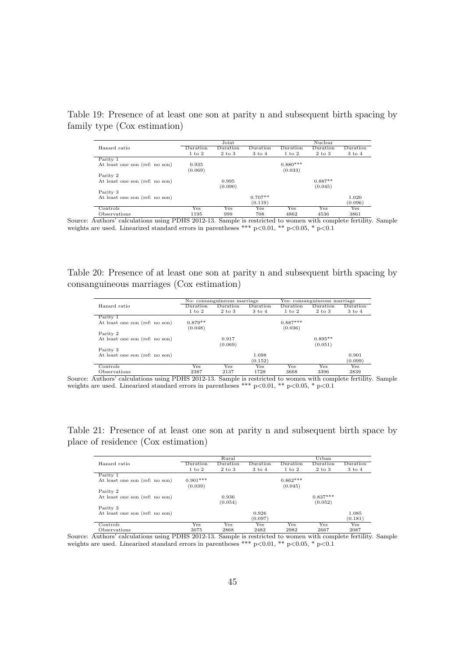|                                |            | Joint      |                   | Nuclear    |            |                   |  |
|--------------------------------|------------|------------|-------------------|------------|------------|-------------------|--|
| Hazard ratio                   | Duration   | Duration   | Duration          | Duration   | Duration   | Duration          |  |
|                                | $1$ to $2$ | $2$ to $3$ | $3 \text{ to } 4$ | 1 to 2     | $2$ to $3$ | $3 \text{ to } 4$ |  |
| Parity 1                       |            |            |                   |            |            |                   |  |
| At least one son (ref: no son) | 0.935      |            |                   | $0.880***$ |            |                   |  |
|                                | (0.069)    |            |                   | (0.033)    |            |                   |  |
| Parity 2                       |            |            |                   |            |            |                   |  |
| At least one son (ref: no son) |            | 0.995      |                   |            | $0.887**$  |                   |  |
|                                |            | (0.090)    |                   |            | (0.045)    |                   |  |
| Parity 3                       |            |            |                   |            |            |                   |  |
| At least one son (ref: no son) |            |            | $0.707**$         |            |            | 1.020             |  |
|                                |            |            | (0.119)           |            |            | (0.096)           |  |
| Controls                       | Yes        | Yes        | Yes               | <b>Yes</b> | Yes        | Yes               |  |
| Ohcomm <sub>tion</sub>         | 1105       | 000        | 709               | 1962       | A E Q G    | 2961              |  |

<span id="page-44-0"></span>Table 19: Presence of at least one son at parity n and subsequent birth spacing by family type (Cox estimation)

Observations 1195 999 708 4862 4536 3861 Source: Authors' calculations using PDHS 2012-13. Sample is restricted to women with complete fertility. Sample weights are used. Linearized standard errors in parentheses \*\*\* p<0.01, \*\* p<0.05, \* p<0.1

<span id="page-44-1"></span>Table 20: Presence of at least one son at parity n and subsequent birth spacing by consanguineous marriages (Cox estimation)

|                                |            | No-consanguineous marriage |            | Yes-consanguineous marriage |            |                   |
|--------------------------------|------------|----------------------------|------------|-----------------------------|------------|-------------------|
| Hazard ratio                   | Duration   | Duration                   | Duration   | Duration                    | Duration   | Duration          |
|                                | $1$ to $2$ | $2$ to $3$                 | $3$ to $4$ | $1$ to $2$                  | $2$ to $3$ | $3 \text{ to } 4$ |
| Parity 1                       |            |                            |            |                             |            |                   |
| At least one son (ref: no son) | $0.879**$  |                            |            | $0.887***$                  |            |                   |
|                                | (0.048)    |                            |            | (0.036)                     |            |                   |
| Parity 2                       |            |                            |            |                             |            |                   |
| At least one son (ref: no son) |            | 0.917                      |            |                             | $0.895**$  |                   |
|                                |            | (0.069)                    |            |                             | (0.051)    |                   |
| Parity 3                       |            |                            |            |                             |            |                   |
| At least one son (ref: no son) |            |                            | 1.098      |                             |            | 0.901             |
|                                |            |                            | (0.152)    |                             |            | (0.099)           |
| Controls                       | Yes        | Yes                        | Yes.       | Yes                         | Yes        | Yes               |
| Observations                   | 2387       | 2137                       | 1728       | 3668                        | 3396       | 2839              |

Source: Authors' calculations using PDHS 2012-13. Sample is restricted to women with complete fertility. Sample weights are used. Linearized standard errors in parentheses \*\*\* p<0.01, \*\* p<0.05, \* p<0.1

<span id="page-44-2"></span>Table 21: Presence of at least one son at parity n and subsequent birth space by place of residence (Cox estimation)

|                                |            | Rural      |            |            | Urban      |                   |
|--------------------------------|------------|------------|------------|------------|------------|-------------------|
| Hazard ratio                   | Duration   | Duration   | Duration   | Duration   | Duration   | Duration          |
|                                | $1$ to $2$ | $2$ to $3$ | $3$ to $4$ | $1$ to $2$ | $2$ to $3$ | $3 \text{ to } 4$ |
| Parity 1                       |            |            |            |            |            |                   |
| At least one son (ref: no son) | $0.901***$ |            |            | $0.862***$ |            |                   |
|                                | (0.039)    |            |            | (0.045)    |            |                   |
| Parity 2                       |            |            |            |            |            |                   |
| At least one son (ref: no son) |            | 0.936      |            |            | $0.837***$ |                   |
|                                |            | (0.054)    |            |            | (0.052)    |                   |
| Parity 3                       |            |            |            |            |            |                   |
| At least one son (ref: no son) |            |            | 0.926      |            |            | 1.085             |
|                                |            |            | (0.097)    |            |            | (0.181)           |
| Controls                       | Yes        | Yes        | Yes        | Yes        | Yes        | Yes               |
| Observations                   | 3075       | 2868       | 2482       | 2982       | 2667       | 2087              |

Source: Authors' calculations using PDHS 2012-13. Sample is restricted to women with complete fertility. Sample weights are used. Linearized standard errors in parentheses \*\*\* p<0.01, \*\* p<0.05, \* p<0.1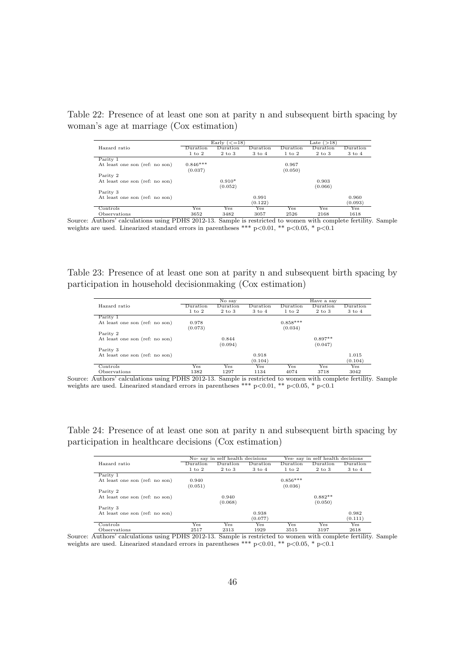<span id="page-45-0"></span>Table 22: Presence of at least one son at parity n and subsequent birth spacing by woman's age at marriage (Cox estimation)

|                                |            | Early $(<=18)$ |                   | Late $(>18)$ |                          |                   |  |
|--------------------------------|------------|----------------|-------------------|--------------|--------------------------|-------------------|--|
| Hazard ratio                   | Duration   | Duration       | Duration          | Duration     | $\mathop{\rm{Duration}}$ | Duration          |  |
|                                | $1$ to $2$ | $2$ to $3$     | $3 \text{ to } 4$ | $1$ to $2$   | $2$ to $3$               | $3 \text{ to } 4$ |  |
| Parity 1                       |            |                |                   |              |                          |                   |  |
| At least one son (ref: no son) | $0.846***$ |                |                   | 0.967        |                          |                   |  |
|                                | (0.037)    |                |                   | (0.050)      |                          |                   |  |
| Parity 2                       |            |                |                   |              |                          |                   |  |
| At least one son (ref: no son) |            | $0.910*$       |                   |              | 0.903                    |                   |  |
|                                |            | (0.052)        |                   |              | (0.066)                  |                   |  |
| Parity 3                       |            |                |                   |              |                          |                   |  |
| At least one son (ref: no son) |            |                | 0.991             |              |                          | 0.960             |  |
|                                |            |                | (0.122)           |              |                          | (0.093)           |  |
| Controls                       | Yes        | Yes            | Yes               | Yes          | Yes                      | Yes               |  |
| Observations                   | 3652       | 3482           | 3057              | 2526         | 2168                     | 1618              |  |

Source: Authors' calculations using PDHS 2012-13. Sample is restricted to women with complete fertility. Sample weights are used. Linearized standard errors in parentheses \*\*\* p $<0.01$ , \*\* p $<0.05$ , \* p $<0.1$ 

<span id="page-45-1"></span>Table 23: Presence of at least one son at parity n and subsequent birth spacing by participation in household decisionmaking (Cox estimation)

|                                |            | No say     |            |            | Have a say |                   |
|--------------------------------|------------|------------|------------|------------|------------|-------------------|
| Hazard ratio                   | Duration   | Duration   | Duration   | Duration   | Duration   | Duration          |
|                                | $1$ to $2$ | $2$ to $3$ | $3$ to $4$ | $1$ to $2$ | $2$ to $3$ | $3 \text{ to } 4$ |
| Parity 1                       |            |            |            |            |            |                   |
| At least one son (ref: no son) | 0.978      |            |            | $0.858***$ |            |                   |
|                                | (0.073)    |            |            | (0.034)    |            |                   |
| Parity 2                       |            |            |            |            |            |                   |
| At least one son (ref: no son) |            | 0.844      |            |            | $0.897**$  |                   |
|                                |            | (0.094)    |            |            | (0.047)    |                   |
| Parity 3                       |            |            |            |            |            |                   |
| At least one son (ref: no son) |            |            | 0.918      |            |            | 1.015             |
|                                |            |            | (0.104)    |            |            | (0.104)           |
| Controls                       | Yes        | Yes        | Yes        | Yes        | Yes        | Yes               |
| Observations                   | 1382       | 1297       | 1134       | 4074       | 3718       | 3042              |

Source: Authors' calculations using PDHS 2012-13. Sample is restricted to women with complete fertility. Sample weights are used. Linearized standard errors in parentheses \*\*\* p<0.01, \*\* p<0.05, \* p<0.1

<span id="page-45-2"></span>Table 24: Presence of at least one son at parity n and subsequent birth spacing by participation in healthcare decisions (Cox estimation)

|                                |                   | No-say in self health decisions |                   |                   | Yes-say in self health decisions |                   |  |
|--------------------------------|-------------------|---------------------------------|-------------------|-------------------|----------------------------------|-------------------|--|
| Hazard ratio                   | Duration          | Duration                        | Duration          | Duration          | Duration                         | Duration          |  |
|                                | $1 \text{ to } 2$ | $2 \text{ to } 3$               | $3 \text{ to } 4$ | $1 \text{ to } 2$ | 2 to 3                           | $3 \text{ to } 4$ |  |
| Parity 1                       |                   |                                 |                   |                   |                                  |                   |  |
| At least one son (ref: no son) | 0.940             |                                 |                   | $0.856***$        |                                  |                   |  |
|                                | (0.051)           |                                 |                   | (0.036)           |                                  |                   |  |
| Parity 2                       |                   |                                 |                   |                   |                                  |                   |  |
| At least one son (ref: no son) |                   | 0.940                           |                   |                   | $0.882**$                        |                   |  |
|                                |                   | (0.068)                         |                   |                   | (0.050)                          |                   |  |
| Parity 3                       |                   |                                 |                   |                   |                                  |                   |  |
| At least one son (ref: no son) |                   |                                 | 0.938             |                   |                                  | 0.982             |  |
|                                |                   |                                 | (0.077)           |                   |                                  | (0.111)           |  |
| Controls                       | Yes               | Yes                             | Yes               | Yes               | Yes                              | Yes               |  |
| Observations                   | 2517              | 2313                            | 1929              | 3515              | 3197                             | 2618              |  |

Source: Authors' calculations using PDHS 2012-13. Sample is restricted to women with complete fertility. Sample weights are used. Linearized standard errors in parentheses \*\*\* p<0.01, \*\* p<0.05, \* p<0.1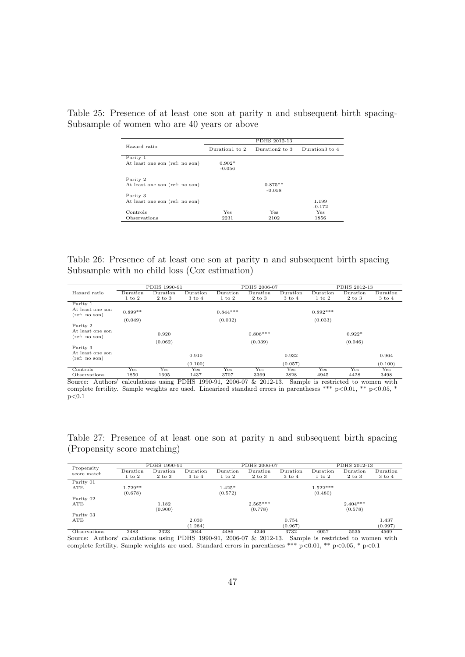|                                |                | PDHS 2012-13   |                |
|--------------------------------|----------------|----------------|----------------|
| Hazard ratio                   | Duration1 to 2 | Duration2 to 3 | Duration3 to 4 |
| Parity 1                       |                |                |                |
| At least one son (ref: no son) | $0.902*$       |                |                |
|                                | $-0.056$       |                |                |
| Parity 2                       |                |                |                |
| At least one son (ref: no son) |                | $0.875**$      |                |
|                                |                | $-0.058$       |                |
| Parity 3                       |                |                |                |
| At least one son (ref: no son) |                |                | 1.199          |
|                                |                |                | $-0.172$       |
| Controls                       | Yes            | Yes            | <b>Yes</b>     |
| Observations                   | 2231           | 2102           | 1856           |

<span id="page-46-0"></span>Table 25: Presence of at least one son at parity n and subsequent birth spacing-Subsample of women who are 40 years or above

<span id="page-46-1"></span>Table 26: Presence of at least one son at parity n and subsequent birth spacing – Subsample with no child loss (Cox estimation)

|                                   |            | PDHS 1990-91             |                   |                 | PDHS 2006-07    |                   |                 | PDHS 2012-13 |                 |
|-----------------------------------|------------|--------------------------|-------------------|-----------------|-----------------|-------------------|-----------------|--------------|-----------------|
| Hazard ratio                      | Duration   | $\mathop{\rm{Duration}}$ | Duration          | $\rm{Duration}$ | $\rm{Duration}$ | Duration          | $\rm{Duration}$ | Duration     | $\rm{Duration}$ |
|                                   | $1$ to $2$ | $2$ to $3$               | $3 \text{ to } 4$ | $1$ to $2$      | $2$ to $3$      | $3 \text{ to } 4$ | $1$ to $2$      | $2$ to $3$   | 3 to 4          |
| Parity 1                          |            |                          |                   |                 |                 |                   |                 |              |                 |
| At least one son<br>(ref: no son) | $0.899**$  |                          |                   | $0.844***$      |                 |                   | $0.892***$      |              |                 |
|                                   | (0.049)    |                          |                   | (0.032)         |                 |                   | (0.033)         |              |                 |
| Parity 2                          |            |                          |                   |                 |                 |                   |                 |              |                 |
| At least one son<br>(ref: no son) |            | 0.920                    |                   |                 | $0.806***$      |                   |                 | $0.922*$     |                 |
|                                   |            | (0.062)                  |                   |                 | (0.039)         |                   |                 | (0.046)      |                 |
| Parity 3                          |            |                          |                   |                 |                 |                   |                 |              |                 |
| At least one son<br>(ref: no son) |            |                          | 0.910             |                 |                 | 0.932             |                 |              | 0.964           |
|                                   |            |                          | (0.100)           |                 |                 | (0.057)           |                 |              | (0.100)         |
| Controls                          | Yes        | Yes                      | Yes               | Yes             | Yes             | Yes               | Yes             | Yes          | Yes             |
| Observations                      | 1850       | 1695                     | 1437              | 3707            | 3369            | 2828              | 4945            | 4428         | 3498            |

Observations 1850 1695 1437 3707 3369 2828 4945 4428 3498 Source: Authors' calculations using PDHS 1990-91, 2006-07 & 2012-13. Sample is restricted to women with complete fertility. Sample weights are used. Linearized standard errors in parentheses \*\*\* p<0.01, \*\* p<0.05, \*  $p<0.1$ 

<span id="page-46-2"></span>Table 27: Presence of at least one son at parity n and subsequent birth spacing (Propensity score matching)

| Propensity   |            | PDHS 1990-91    |                          |            | PDHS 2006-07 |                   |            | PDHS 2012-13 |                   |
|--------------|------------|-----------------|--------------------------|------------|--------------|-------------------|------------|--------------|-------------------|
| score match  | Duration   | $\rm{Duration}$ | $\mathop{\rm{Duration}}$ | Duration   | Duration     | Duration          | Duration   | Duration     | Duration          |
|              | $1$ to $2$ | $2$ to $3$      | $3 \text{ to } 4$        | $1$ to $2$ | $2$ to $3$   | $3 \text{ to } 4$ | $1$ to $2$ | 2 to 3       | $3 \text{ to } 4$ |
| Parity 01    |            |                 |                          |            |              |                   |            |              |                   |
| ATE          | $1.729**$  |                 |                          | $1.425*$   |              |                   | $1.522***$ |              |                   |
|              | (0.678)    |                 |                          | (0.572)    |              |                   | (0.480)    |              |                   |
| Parity 02    |            |                 |                          |            |              |                   |            |              |                   |
| ATE          |            | 1.182           |                          |            | $2.565***$   |                   |            | $2.404***$   |                   |
|              |            | (0.900)         |                          |            | (0.778)      |                   |            | (0.578)      |                   |
| Parity 03    |            |                 |                          |            |              |                   |            |              |                   |
| ATE          |            |                 | 2.030                    |            |              | 0.754             |            |              | 1.437             |
|              |            |                 | (1.284)                  |            |              | (0.967)           |            |              | (0.997)           |
| Observations | 2483       | 2323            | 2044                     | 4486       | 4246         | 3732              | 6057       | 5535         | 4569              |

Observations 2483 2323 2044 4486 4246 3732 6057 5535 4569 Source: Authors' calculations using PDHS 1990-91, 2006-07 & 2012-13. Sample is restricted to women with complete fertility. Sample weights are used. Standard errors in parentheses \*\*\* p<0.01, \*\* p<0.05, \* p<0.1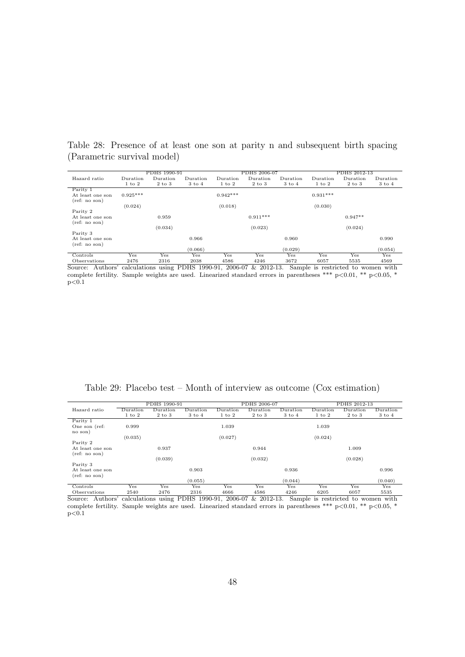<span id="page-47-0"></span>Table 28: Presence of at least one son at parity n and subsequent birth spacing (Parametric survival model)

|                                   |            | PDHS 1990-91 |                   |            | PDHS 2006-07 |                   |                 | PDHS 2012-13 |            |
|-----------------------------------|------------|--------------|-------------------|------------|--------------|-------------------|-----------------|--------------|------------|
| Hazard ratio                      | Duration   | Duration     | Duration          | Duration   | Duration     | Duration          | Duration        | Duration     | Duration   |
|                                   | $1$ to $2$ | $2$ to $3$   | $3 \text{ to } 4$ | $1$ to $2$ | $2$ to $3$   | $3 \text{ to } 4$ | $1$ to $2$      | $2$ to $3$   | $3$ to $4$ |
| Parity 1                          |            |              |                   |            |              |                   |                 |              |            |
| At least one son<br>(ref: no son) | $0.925***$ |              |                   | $0.942***$ |              |                   | $0.931***$      |              |            |
|                                   | (0.024)    |              |                   | (0.018)    |              |                   | (0.030)         |              |            |
| Parity 2<br>At least one son      |            | 0.959        |                   |            | $0.911***$   |                   |                 | $0.947**$    |            |
| (ref: no son)                     |            | (0.034)      |                   |            | (0.023)      |                   |                 | (0.024)      |            |
| Parity 3                          |            |              |                   |            |              |                   |                 |              |            |
| At least one son<br>(ref: no son) |            |              | 0.966             |            |              | 0.960             |                 |              | 0.990      |
|                                   |            |              | (0.066)           |            |              | (0.029)           |                 |              | (0.054)    |
| Controls                          | Yes        | Yes          | Yes               | Yes        | Yes          | Yes               | Yes             | Yes          | Yes        |
| $\bigcap$ homeonations $\bigcap$  | 0.47c      | 0.21c        | 0020              | A E Q C    | AOAC         | 2070              | $C$ $C$ $E$ $D$ | EEQE         | A E C      |

Controls Yes Yes Yes Yes Yes Yes Yes Yes Yes Observations 2476 2316 2038 4586 4246 3672 6057 5535 4569 Source: Authors' calculations using PDHS 1990-91, 2006-07 & 2012-13. Sample is restricted to women with complete fertility. Sample weights are used. Linearized standard errors in parentheses \*\*\* p<0.01, \*\* p<0.05, \*  $p<0.1$ 

<span id="page-47-1"></span>

| Table 29: Placebo test – Month of interview as outcome ( $\cos$ estimation) |  |
|-----------------------------------------------------------------------------|--|
|-----------------------------------------------------------------------------|--|

|                  |                    | PDHS 1990-91          |                                        |                 | PDHS 2006-07     |                          |                                    | PDHS 2012-13                       |                      |
|------------------|--------------------|-----------------------|----------------------------------------|-----------------|------------------|--------------------------|------------------------------------|------------------------------------|----------------------|
| Hazard ratio     | Duration           | $\rm{Duration}$       | $\rm{Duration}$                        | $\rm{Duration}$ | Duration         | $\rm{Duration}$          | Duration                           | Duration                           | Duration             |
|                  | $1$ to $2$         | $2$ to $3$            | $3 \text{ to } 4$                      | $1$ to $2$      | $2$ to $3$       | $3 \text{ to } 4$        | $1 \text{ to } 2$                  | $2$ to $3$                         | $3$ to $4$           |
| Parity 1         |                    |                       |                                        |                 |                  |                          |                                    |                                    |                      |
| One son (ref:    | 0.999              |                       |                                        | 1.039           |                  |                          | 1.039                              |                                    |                      |
| no son)          |                    |                       |                                        |                 |                  |                          |                                    |                                    |                      |
|                  | (0.035)            |                       |                                        | (0.027)         |                  |                          | (0.024)                            |                                    |                      |
| Parity 2         |                    |                       |                                        |                 |                  |                          |                                    |                                    |                      |
| At least one son |                    | 0.937                 |                                        |                 | 0.944            |                          |                                    | 1.009                              |                      |
| (ref: no son)    |                    |                       |                                        |                 |                  |                          |                                    |                                    |                      |
|                  |                    | (0.039)               |                                        |                 | (0.032)          |                          |                                    | (0.028)                            |                      |
| Parity 3         |                    |                       |                                        |                 |                  |                          |                                    |                                    |                      |
| At least one son |                    |                       | 0.903                                  |                 |                  | 0.936                    |                                    |                                    | 0.996                |
| (ref: no son)    |                    |                       |                                        |                 |                  |                          |                                    |                                    |                      |
|                  |                    |                       |                                        |                 |                  |                          |                                    |                                    |                      |
| Controls         |                    |                       |                                        |                 |                  |                          |                                    |                                    | $_{\rm Yes}$         |
| $\sim$ $\sim$    | Yes<br>$\sim$ $ -$ | Yes<br>$\sim$ $ \sim$ | (0.055)<br>Yes<br>$\sim$ $\sim$ $\sim$ | Yes<br>$\cdots$ | Yes<br>$- - - -$ | (0.044)<br>Yes<br>$\sim$ | Yes<br>$\sim$ $\sim$ $\sim$ $\sim$ | Yes<br>$\sim$ $\sim$ $\sim$ $\sim$ | (0.040)<br>$- - - -$ |

Controls Yes Yes Yes Yes Yes Yes Yes Yes Yes Observations 2540 2476 2316 4666 4586 4246 6205 6057 5535 Source: Authors' calculations using PDHS 1990-91, 2006-07 & 2012-13. Sample is restricted to women with complete fertility. Sample weights are used. Linearized standard errors in parentheses \*\*\* p<0.01, \*\* p<0.05, \*  $p<0.1$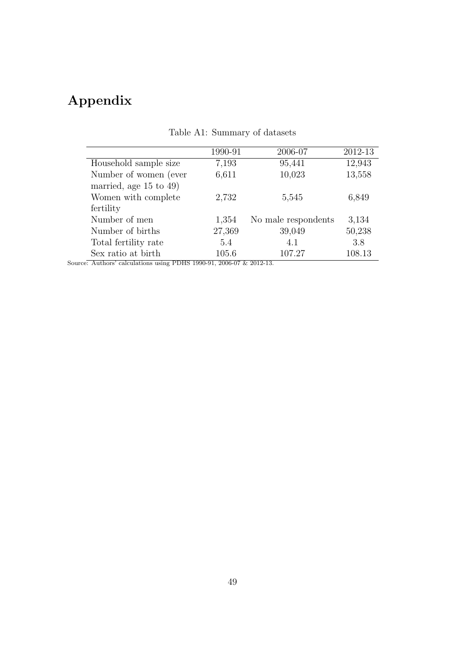## Appendix

|                             | 1990-91 | 2006-07             | 2012-13 |
|-----------------------------|---------|---------------------|---------|
| Household sample size       | 7,193   | 95,441              | 12,943  |
| Number of women (ever       | 6,611   | 10,023              | 13,558  |
| married, age $15$ to $49$ ) |         |                     |         |
| Women with complete         | 2,732   | 5,545               | 6,849   |
| fertility                   |         |                     |         |
| Number of men               | 1,354   | No male respondents | 3,134   |
| Number of births            | 27,369  | 39,049              | 50,238  |
| Total fertility rate        | 5.4     | 4.1                 | 3.8     |
| Sex ratio at birth          | 105.6   | 107.27              | 108.13  |
|                             |         |                     |         |

### Table A1: Summary of datasets

Source: Authors' calculations using PDHS 1990-91, 2006-07  $\&$  2012-13.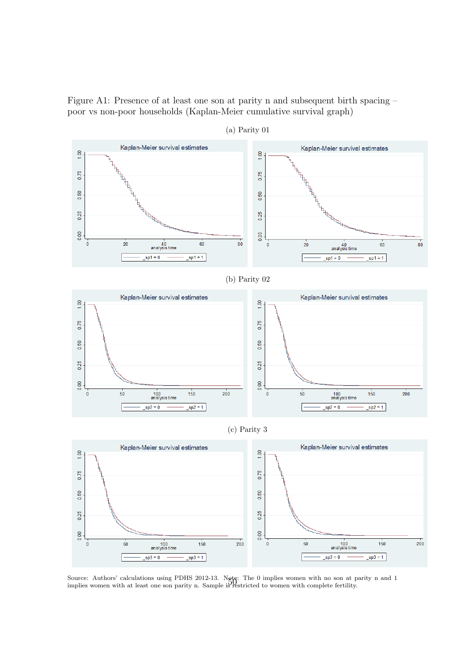Figure A1: Presence of at least one son at parity n and subsequent birth spacing – poor vs non-poor households (Kaplan-Meier cumulative survival graph)



(a) Parity 01

Source: Authors' calculations using PDHS 2012-13. Note: The 0 implies women with no son at parity n and 1 implies women with at least one son parity n. Sample is restricted to women with complete fertility.

150

 $sp3 = 1$ 

 $\overline{200}$ 

0.00

 $\overline{\mathbf{0}}$ 

 $50$ 

100<br>analysis time  $sp3 = 0$ 

0.00

 $\overline{0}$ 

 $50$ 

100<br>analysis time

 $sp3 = 0$ 

 $150$ 

 $\frac{1}{\text{sp3}} = 1$ 

 $200$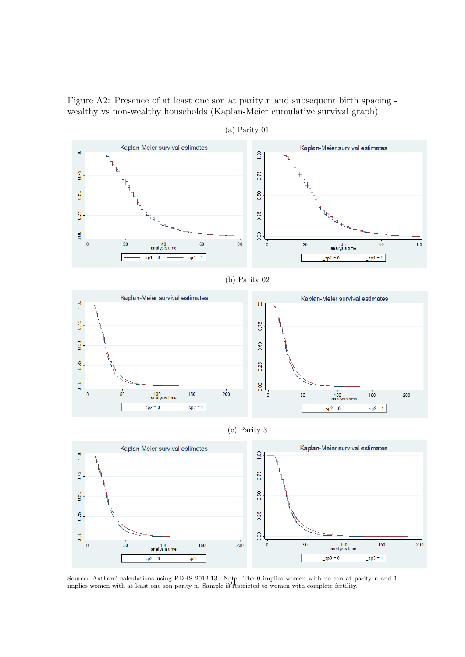Figure A2: Presence of at least one son at parity n and subsequent birth spacing wealthy vs non-wealthy households (Kaplan-Meier cumulative survival graph)



(a) Parity 01

Source: Authors' calculations using PDHS 2012-13. Note: The 0 implies women with no son at parity n and 1 implies women with at least one son parity n. Sample is restricted to women with complete fertility.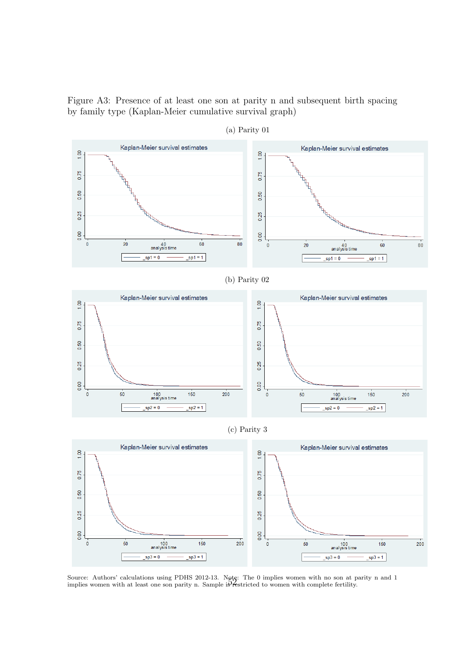Figure A3: Presence of at least one son at parity n and subsequent birth spacing by family type (Kaplan-Meier cumulative survival graph)



(a) Parity 01

Source: Authors' calculations using PDHS 2012-13. Note: The 0 implies women with no son at parity n and 1 implies women with at least one son parity n. Sample is restricted to women with complete fertility.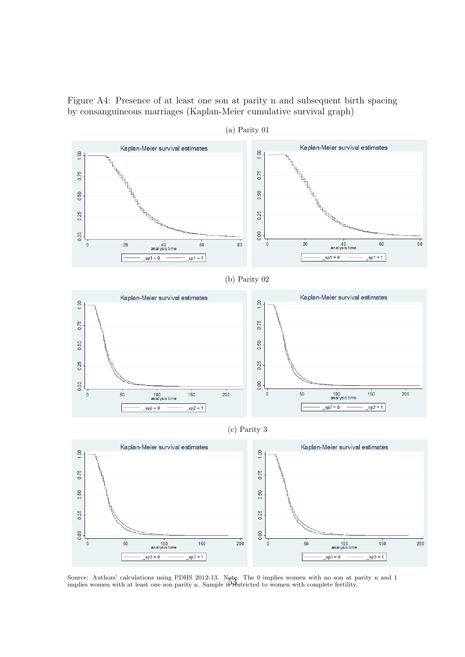Figure A4: Presence of at least one son at parity n and subsequent birth spacing by consanguineous marriages (Kaplan-Meier cumulative survival graph)



(a) Parity 01

Source: Authors' calculations using PDHS 2012-13. Note: The 0 implies women with no son at parity n and 1 implies women with at least one son parity n. Sample is restricted to women with complete fertility.

 $\overline{200}$ 

 $150$ 

 $sp3 = 1$ 

0.00

 $\overline{\mathbf{0}}$ 

 $50$ 

100<br>analysis time

 $\frac{1}{2}$ 

 $\overline{200}$ 

 $150$ 

 $sp3=1$ 

0.00

 $\overline{\mathbf{0}}$ 

 $50$ 

100<br>analysis time

 $\frac{1}{2}$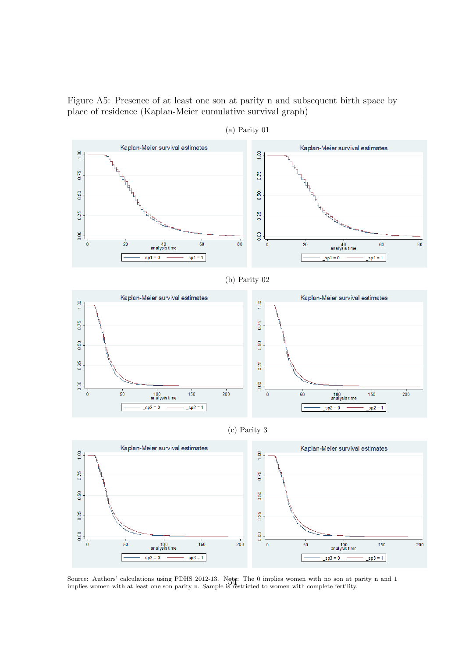Figure A5: Presence of at least one son at parity n and subsequent birth space by place of residence (Kaplan-Meier cumulative survival graph)



(a) Parity 01

Source: Authors' calculations using PDHS 2012-13. Note: The 0 implies women with no son at parity n and 1 implies women with at least one son parity n. Sample is restricted to women with complete fertility.

 $\overline{200}$ 

150

 $sp3 = 1$ 

0.25

0.00

 $\overline{\mathbf{0}}$ 

 $50$ 

100<br>analysis time

 $\frac{\text{sp3} = 0}{\text{sp3}}$ 

150

 $sp3 = 1$ 

 $200$ 

0.25

0.00

 $\overline{0}$ 

 $50$ 

100<br>analysis time

 $s$ p3 = 0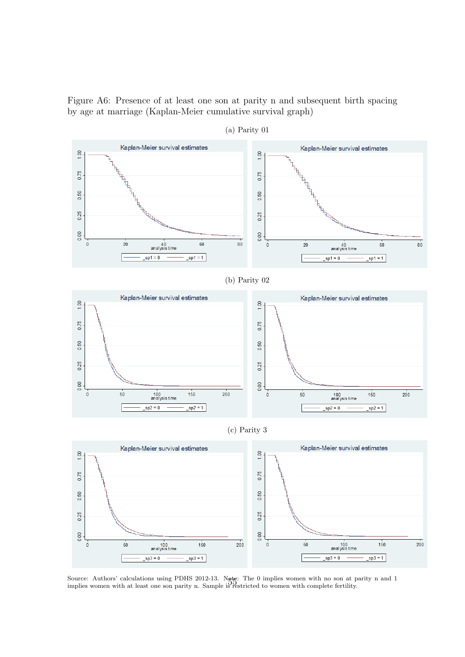Figure A6: Presence of at least one son at parity n and subsequent birth spacing by age at marriage (Kaplan-Meier cumulative survival graph)



(a) Parity 01

Source: Authors' calculations using PDHS 2012-13. Note: The 0 implies women with no son at parity n and 1 implies women with at least one son parity n. Sample is restricted to women with complete fertility.

 $sp3 = 1$ 

 $sp3 = 0$ 

 $sp3 = 0$ 

 $sp3 = 1$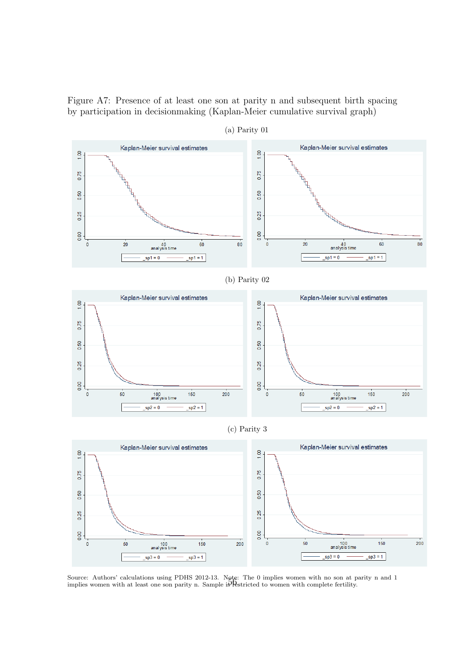Figure A7: Presence of at least one son at parity n and subsequent birth spacing by participation in decisionmaking (Kaplan-Meier cumulative survival graph)



(a) Parity 01

Source: Authors' calculations using PDHS 2012-13. Note: The 0 implies women with no son at parity n and 1 implies women with at least one son parity n. Sample is Restricted to women with complete fertility.

 $sp3 = 0$ 

 $sp3 = 1$ 

100<br>analysis time

 $sp3 = 0$ 

 $sps = 1$ 

 $\overline{\mathbf{0}}$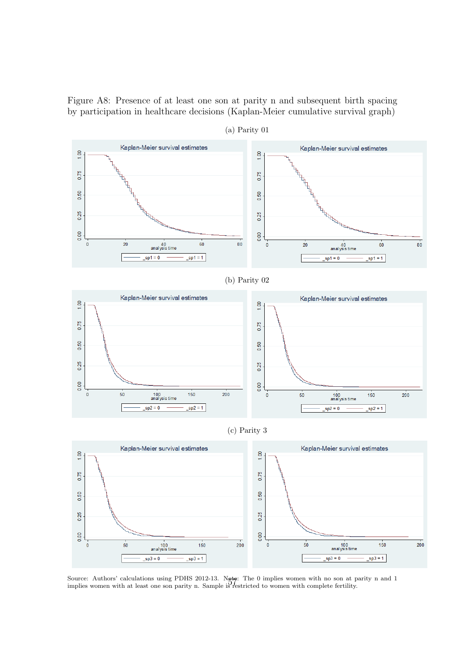Figure A8: Presence of at least one son at parity n and subsequent birth spacing by participation in healthcare decisions (Kaplan-Meier cumulative survival graph)



(a) Parity 01

Source: Authors' calculations using PDHS 2012-13. Note: The 0 implies women with no son at parity n and 1 implies women with at least one son parity n. Sample is restricted to women with complete fertility.

 $200$ 

150

 $sp3 = 1$ 

 $0.00$ 

 $\pmb{0}$ 

 $50$ 

100<br>analysis time

 $sp3 = 0$ 

 $150$ 

 $sp3 = 1$ 

 $200$ 

0.00

 $\overline{0}$ 

 $50$ 

100<br>analysis time

 $sp3 = 0$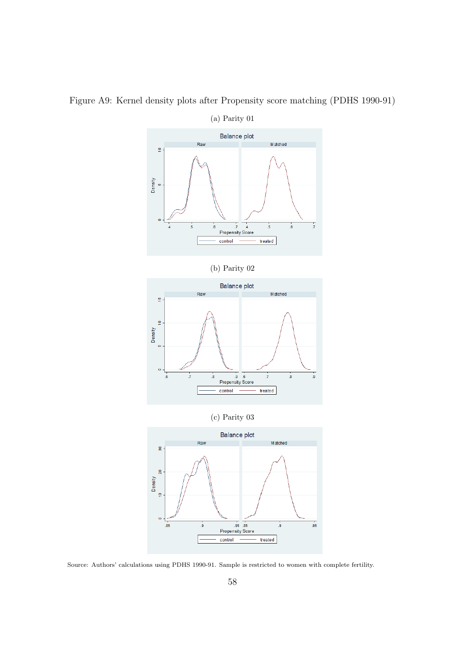

Figure A9: Kernel density plots after Propensity score matching (PDHS 1990-91)

Source: Authors' calculations using PDHS 1990-91. Sample is restricted to women with complete fertility.

control

 $t$ reated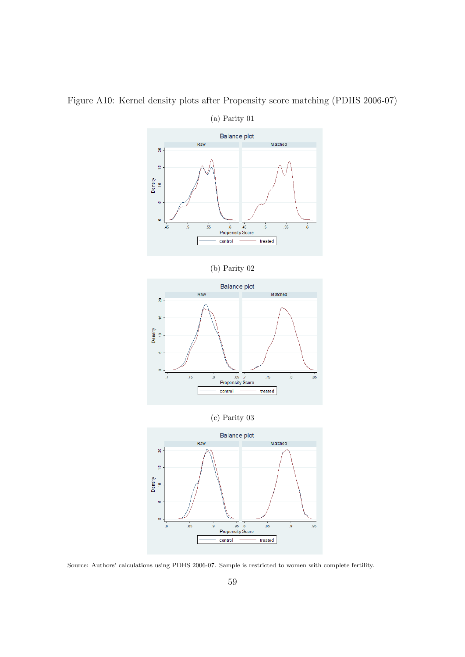

Figure A10: Kernel density plots after Propensity score matching (PDHS 2006-07)

(a) Parity 01



Source: Authors' calculations using PDHS 2006-07. Sample is restricted to women with complete fertility.